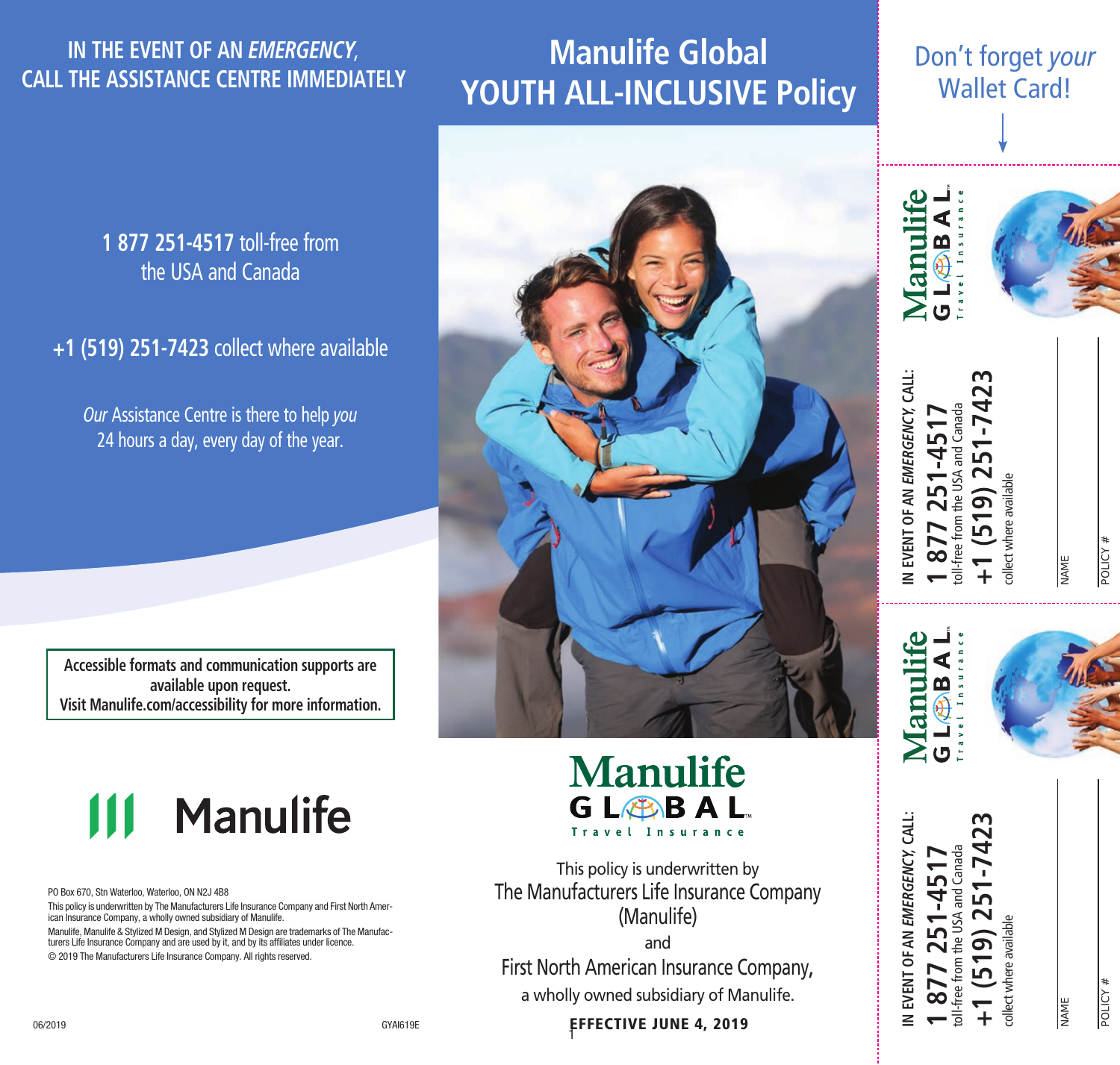# **IN THE EVENT OF AN** *EMERGENCY*, **CALL THE ASSISTANCE CENTRE IMMEDIATELY**

# **Manulife Global YOUTH ALL-INCLUSIVE Policy**

# Don't forget your Wallet Card!

**1 877 251-4517** toll-free from the USA and Canada

**+1 (519) 251-7423** collect where available

Our Assistance Centre is there to help you 24 hours a day, every day of the year.

**Accessible formats and communication supports are available upon request. Visit Manulife.com/accessibility for more information.**



PO Box 670, Stn Waterloo, Waterloo, ON N2J 4B8 This policy is underwritten by The Manufacturers Life Insurance Company and First North American Insurance Company, a wholly owned subsidiary of Manulife. Manulife, Manulife & Stylized M Design, and Stylized M Design are trademarks of The Manufacturers Life Insurance Company and are used by it, and by its affiliates under licence.

© 2019 The Manufacturers Life Insurance Company. All rights reserved.



# **Manulife** GL**OBAL**

This policy is underwritten by The Manufacturers Life Insurance Company (Manulife)

and First North American Insurance Company, a wholly owned subsidiary of Manulife.

 $\frac{6}{2019}$  GYAI619E  $\frac{1}{101}$   $\frac{1}{101}$   $\frac{1}{101}$   $\frac{1}{101}$   $\frac{1}{101}$   $\frac{1}{101}$   $\frac{1}{101}$   $\frac{1}{101}$   $\frac{1}{101}$   $\frac{1}{101}$   $\frac{1}{101}$   $\frac{1}{101}$   $\frac{1}{101}$   $\frac{1}{101}$   $\frac{1}{101}$   $\frac{1}{101}$   $\frac{1}{1$ 



EVENT OF AN EMERGENCY, CALL: **IN EVENT OF AN EMERGENCY, CALL: +1 (519) 251-7423 1 877 251-4517** toll-free from the USA and Canada collect where available z

POLICY # POLICY #



**IN EVENT OF AN EMERGENCY, CALL:**

N EVENT OF AN EMERGENCY, CALL:



NAME

**1 877 251-4517** toll-free from the USA and Canada **+1 (519) 251-7423** collect where available

NAME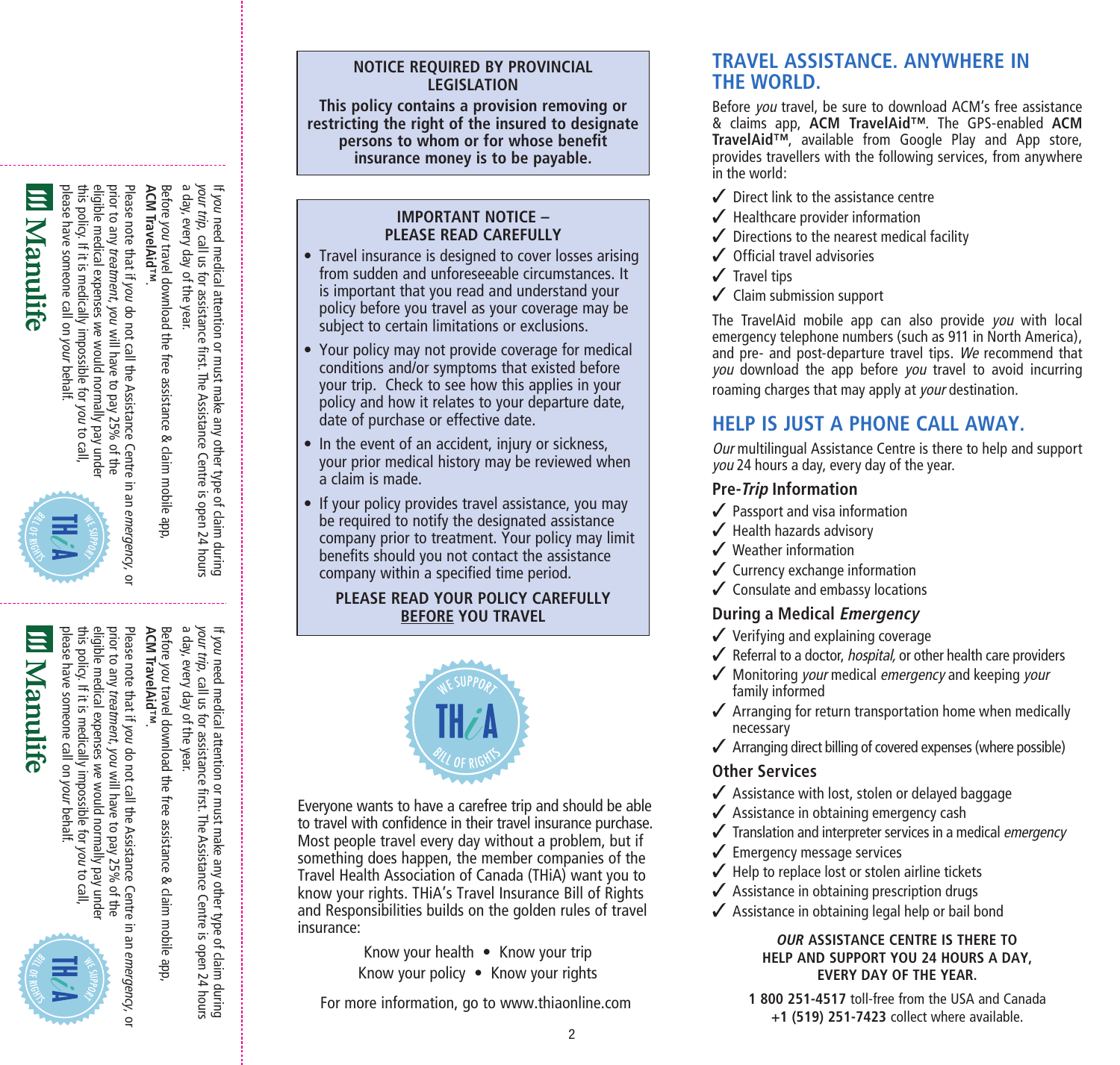# Manulife

BILL P**PORT** emergency, or will have to pay 25% of the would normally pay under

# Manulife



Before you travel download the free assistance & claim mobile app, **ACM TravelAid™**Please note that if you do not call the Assistance Centre in an emergency,prior to any treatment, you will have to pay 25% of the eligible medical expenses would normally pay under

we

this policy. If it is medically impossible for you

please have someone call on your behalf.

to call,

or

If you need medical attention or must make any other type of claim during<br>your trip, call us for assistance first. The Assistance Centre is open 24 hours<br>your trip, call us for assistance first. The Assistance Centre is op need medical attention or must make any other type of claim during

call us for assistance first. The Assistance Centre is open 24 hours

your trip, call us for<br>a day, every day of 1

a day, every day of the year.

f the year.

If you need medical attention or must make any other type of claim during<br>your trip, call us for assistance first. The Assistance Centre is open 24 hours need medical attention or must make any other type of claim during

call us for assistance first. The Assistance Centre is open 24 hours

your trip, call us for assistance first.<br>a day, every day of the year.

a day, every day of the year. you

Before

**ACM**

prior to any

treatment, you

eligible medical expenses

we

this policy. If it is medically impossible for you

please have someone call on your behalf.

to call,

**TravelAid™**Please note that if you

travel download the free assistance & claim mobile app,

do not call the Assistance Centre in an

## **NOTICE REQUIRED BY PROVINCIAL LEGISLATION**

**This policy contains a provision removing or restricting the right of the insured to designate persons to whom or for whose benefit insurance money is to be payable.**

## **IMPORTANT NOTICE – PLEASE READ CAREFULLY**

- Travel insurance is designed to cover losses arising from sudden and unforeseeable circumstances. It is important that you read and understand your policy before you travel as your coverage may be subject to certain limitations or exclusions.
- Your policy may not provide coverage for medical conditions and/or symptoms that existed before your trip. Check to see how this applies in your policy and how it relates to your departure date, date of purchase or effective date.
- In the event of an accident, injury or sickness, your prior medical history may be reviewed when a claim is made.
- If your policy provides travel assistance, you may be required to notify the designated assistance company prior to treatment. Your policy may limit benefits should you not contact the assistance company within a specified time period.

# **PLEASE READ YOUR POLICY CAREFULLY BEFORE YOU TRAVEL**



Everyone wants to have a carefree trip and should be able to travel with confidence in their travel insurance purchase. Most people travel every day without a problem, but if something does happen, the member companies of the Travel Health Association of Canada (THiA) want you to know your rights. THiA's Travel Insurance Bill of Rights and Responsibilities builds on the golden rules of travel insurance:

> Know your health • Know your trip Know your policy • Know your rights

For more information, go to www.thiaonline.com

# **TRAVEL ASSISTANCE. ANYWHERE IN THE WORLD.**

Before you travel, be sure to download ACM's free assistance & claims app, **ACM TravelAid™**. The GPS-enabled **ACM TravelAid™**, available from Google Play and App store, provides travellers with the following services, from anywhere in the world:

- $\checkmark$  Direct link to the assistance centre
- $\checkmark$  Healthcare provider information
- $\checkmark$  Directions to the nearest medical facility
- ✓ Official travel advisories
- ✓ Travel tips
- ✓ Claim submission support

The TravelAid mobile app can also provide you with local emergency telephone numbers (such as 911 in North America), and pre- and post-departure travel tips. We recommend that you download the app before you travel to avoid incurring roaming charges that may apply at *your* destination.

# **HELP IS JUST A PHONE CALL AWAY.**

Our multilingual Assistance Centre is there to help and support you 24 hours a day, every day of the year.

# **Pre-Trip Information**

- ✓ Passport and visa information
- ✓ Health hazards advisory
- ✓ Weather information
- ✓ Currency exchange information
- $\checkmark$  Consulate and embassy locations

# **During a Medical Emergency**

- ✓ Verifying and explaining coverage
- $\checkmark$  Referral to a doctor, *hospital*, or other health care providers
- $\checkmark$  Monitoring your medical emergency and keeping your family informed
- $\sqrt{\ }$  Arranging for return transportation home when medically necessary
- $\checkmark$  Arranging direct billing of covered expenses (where possible)

# **Other Services**

- $\checkmark$  Assistance with lost, stolen or delayed baggage
- ✓ Assistance in obtaining emergency cash
- $\checkmark$  Translation and interpreter services in a medical *emergency*
- ✓ Emergency message services
- $\checkmark$  Help to replace lost or stolen airline tickets
- $\angle$  Assistance in obtaining prescription drugs
- $\checkmark$  Assistance in obtaining legal help or bail bond

### **OUR ASSISTANCE CENTRE IS THERE TO HELP AND SUPPORT YOU 24 HOURS A DAY, EVERY DAY OF THE YEAR.**

**1 800 251-4517** toll-free from the USA and Canada **+1 (519) 251-7423** collect where available.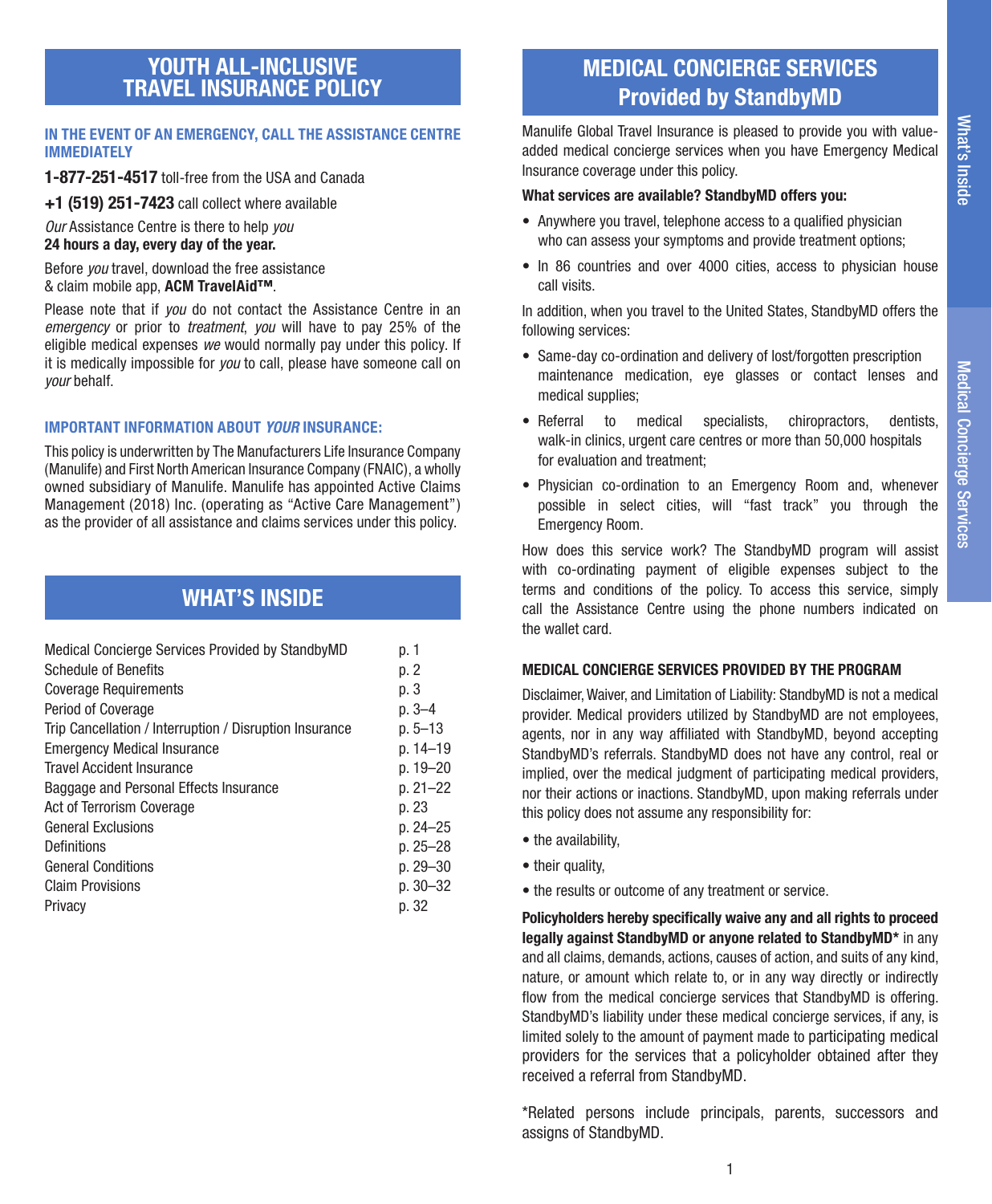# **YOUTH ALL-INCLUSIVE TRAVEL INSURANCE POLICY**

### **IN THE EVENT OF AN EMERGENCY, CALL THE ASSISTANCE CENTRE IMMEDIATELY**

**1-877-251-4517** toll-free from the USA and Canada

**+1 (519) 251-7423** call collect where available

*Our* Assistance Centre is there to help *you* **24 hours a day, every day of the year.**

Before *you* travel, download the free assistance & claim mobile app, **ACM TravelAid™**.

Please note that if *you* do not contact the Assistance Centre in an *emergency* or prior to *treatment*, *you* will have to pay 25% of the eligible medical expenses *we* would normally pay under this policy. If it is medically impossible for *you* to call, please have someone call on *your* behalf.

### **IMPORTANT INFORMATION ABOUT** *YOUR* **INSURANCE:**

This policy is underwritten by The Manufacturers Life Insurance Company (Manulife) and First North American Insurance Company (FNAIC), a wholly owned subsidiary of Manulife. Manulife has appointed Active Claims Management (2018) Inc. (operating as "Active Care Management") as the provider of all assistance and claims services under this policy.

# **WHAT'S INSIDE**

| Medical Concierge Services Provided by StandbyMD        | p. 1         |
|---------------------------------------------------------|--------------|
| <b>Schedule of Benefits</b>                             | p. 2         |
| <b>Coverage Requirements</b>                            | p. 3         |
| Period of Coverage                                      | $p.3-4$      |
| Trip Cancellation / Interruption / Disruption Insurance | $p.5 - 13$   |
| <b>Emergency Medical Insurance</b>                      | p. 14-19     |
| <b>Travel Accident Insurance</b>                        | p. 19-20     |
| Baggage and Personal Effects Insurance                  | $p. 21 - 22$ |
| Act of Terrorism Coverage                               | p. 23        |
| <b>General Exclusions</b>                               | p. 24-25     |
| Definitions                                             | p. 25-28     |
| <b>General Conditions</b>                               | p. 29-30     |
| <b>Claim Provisions</b>                                 | $p.30 - 32$  |
| Privacy                                                 | p. 32        |

# **MEDICAL CONCIERGE SERVICES Provided by StandbyMD**

Manulife Global Travel Insurance is pleased to provide you with valueadded medical concierge services when you have Emergency Medical Insurance coverage under this policy.

### **What services are available? StandbyMD offers you:**

- Anywhere you travel, telephone access to a qualified physician who can assess your symptoms and provide treatment options;
- In 86 countries and over 4000 cities, access to physician house call visits.

In addition, when you travel to the United States, StandbyMD offers the following services:

- Same-day co-ordination and delivery of lost/forgotten prescription maintenance medication, eye glasses or contact lenses and medical supplies;
- Referral to medical specialists, chiropractors, dentists, walk-in clinics, urgent care centres or more than 50,000 hospitals for evaluation and treatment;
- Physician co-ordination to an Emergency Room and, whenever possible in select cities, will "fast track" you through the Emergency Room.

How does this service work? The StandbyMD program will assist with co-ordinating payment of eligible expenses subject to the terms and conditions of the policy. To access this service, simply call the Assistance Centre using the phone numbers indicated on the wallet card.

### **MEDICAL CONCIERGE SERVICES PROVIDED BY THE PROGRAM**

Disclaimer, Waiver, and Limitation of Liability: StandbyMD is not a medical provider. Medical providers utilized by StandbyMD are not employees, agents, nor in any way affiliated with StandbyMD, beyond accepting StandbyMD's referrals. StandbyMD does not have any control, real or implied, over the medical judgment of participating medical providers, nor their actions or inactions. StandbyMD, upon making referrals under this policy does not assume any responsibility for:

- the availability,
- their quality.
- the results or outcome of any treatment or service.

**Policyholders hereby specifically waive any and all rights to proceed legally against StandbyMD or anyone related to StandbyMD\*** in any and all claims, demands, actions, causes of action, and suits of any kind, nature, or amount which relate to, or in any way directly or indirectly flow from the medical concierge services that StandbyMD is offering. StandbyMD's liability under these medical concierge services, if any, is limited solely to the amount of payment made to participating medical providers for the services that a policyholder obtained after they received a referral from StandbyMD.

\*Related persons include principals, parents, successors and assigns of StandbyMD.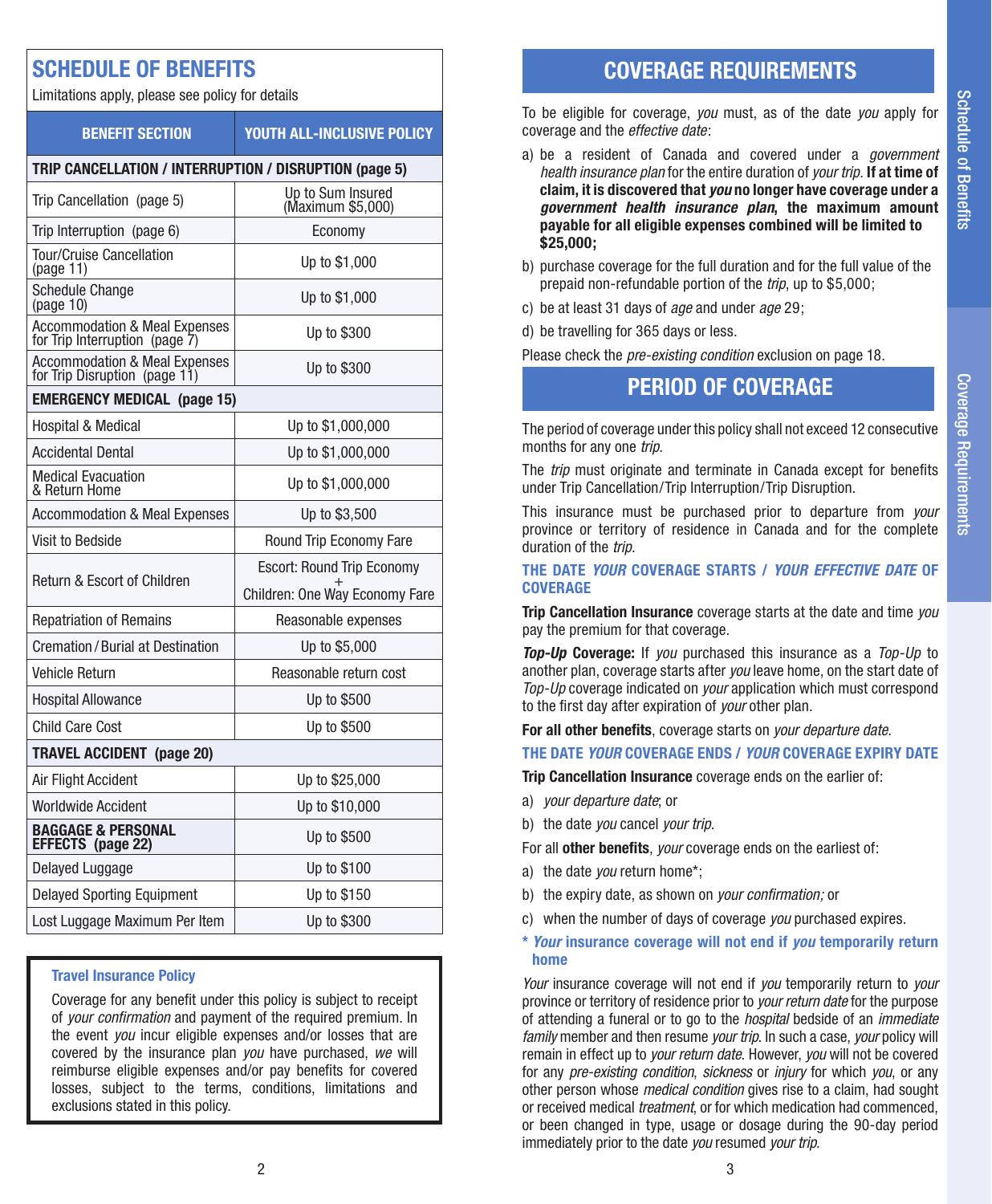# **SCHEDULE OF BENEFITS**

Limitations apply, please see policy for details

| <b>BENEFIT SECTION</b>                                                     | YOUTH ALL-INCLUSIVE POLICY             |  |
|----------------------------------------------------------------------------|----------------------------------------|--|
| TRIP CANCELLATION / INTERRUPTION / DISRUPTION (page 5)                     |                                        |  |
| Trip Cancellation (page 5)                                                 | Up to Sum Insured<br>(Maximum \$5,000) |  |
| Trip Interruption (page 6)                                                 | Economy                                |  |
| <b>Tour/Cruise Cancellation</b><br>(page 11)                               | Up to \$1,000                          |  |
| <b>Schedule Change</b><br>(page 10)                                        | Up to \$1,000                          |  |
| <b>Accommodation &amp; Meal Expenses</b><br>for Trip Interruption (page 7) | Up to \$300                            |  |
| <b>Accommodation &amp; Meal Expenses</b><br>for Trip Disruption (page 11)  | Up to \$300                            |  |
| <b>EMERGENCY MEDICAL (page 15)</b>                                         |                                        |  |
| Hospital & Medical                                                         | Up to \$1,000,000                      |  |
| <b>Accidental Dental</b>                                                   | Up to \$1,000,000                      |  |
| <b>Medical Evacuation</b><br>& Return Home                                 | Up to \$1,000,000                      |  |
| <b>Accommodation &amp; Meal Expenses</b>                                   | Up to \$3,500                          |  |
| <b>Visit to Bedside</b>                                                    | Round Trip Economy Fare                |  |
| <b>Return &amp; Escort of Children</b>                                     | <b>Escort: Round Trip Economy</b>      |  |
|                                                                            | Children: One Way Economy Fare         |  |
| <b>Repatriation of Remains</b>                                             | Reasonable expenses                    |  |
| <b>Cremation / Burial at Destination</b>                                   | Up to \$5,000                          |  |
| Vehicle Return                                                             | Reasonable return cost                 |  |
| <b>Hospital Allowance</b>                                                  | Up to \$500                            |  |
| Child Care Cost                                                            | Up to \$500                            |  |
| <b>TRAVEL ACCIDENT</b> (page 20)                                           |                                        |  |
| Air Flight Accident                                                        | Up to \$25,000                         |  |
| Worldwide Accident                                                         | Up to \$10,000                         |  |
| <b>BAGGAGE &amp; PERSONAL</b><br><b>EFFECTS</b> (page 22)                  | Up to \$500                            |  |
| <b>Delayed Luggage</b>                                                     | Up to \$100                            |  |
| <b>Delayed Sporting Equipment</b>                                          | Up to \$150                            |  |
| Lost Luggage Maximum Per Item                                              | Up to \$300                            |  |

### **Travel Insurance Policy**

Coverage for any benefit under this policy is subject to receipt of *your confirmation* and payment of the required premium. In the event *you* incur eligible expenses and/or losses that are covered by the insurance plan *you* have purchased, *we* will reimburse eligible expenses and/or pay benefits for covered losses, subject to the terms, conditions, limitations and exclusions stated in this policy.

# **COVERAGE REQUIREMENTS**

To be eligible for coverage, *you* must, as of the date *you* apply for coverage and the *effective date*:

- a) be a resident of Canada and covered under a *government health insurance plan* for the entire duration of *your trip*. **If at time of claim, it is discovered that** *you* **no longer have coverage under a**  *government health insurance plan***, the maximum amount payable for all eligible expenses combined will be limited to \$25,000;**
- b) purchase coverage for the full duration and for the full value of the prepaid non-refundable portion of the *trip*, up to \$5,000;
- c) be at least 31 days of *age* and under *age* 29;
- d) be travelling for 365 days or less.

Please check the *pre-existing condition* exclusion on page 18.

# **PERIOD OF COVERAGE**

The period of coverage under this policy shall not exceed 12 consecutive months for any one *trip*.

The *trip* must originate and terminate in Canada except for benefits under Trip Cancellation/Trip Interruption/Trip Disruption.

This insurance must be purchased prior to departure from *your* province or territory of residence in Canada and for the complete duration of the *trip*.

### **THE DATE** *YOUR* **COVERAGE STARTS /** *YOUR EFFECTIVE DATE* **OF COVERAGE**

**Trip Cancellation Insurance** coverage starts at the date and time *you* pay the premium for that coverage.

**Top-Up Coverage:** If you purchased this insurance as a Top-Up to another plan, coverage starts after *you* leave home, on the start date of *Top-Up* coverage indicated on *your* application which must correspond to the first day after expiration of *your* other plan.

**For all other benefits**, coverage starts on *your departure date*.

### **THE DATE** *YOUR* **COVERAGE ENDS /** *YOUR* **COVERAGE EXPIRY DATE**

**Trip Cancellation Insurance** coverage ends on the earlier of:

- a) *your departure date*; or
- b) the date *you* cancel *your trip.*
- For all **other benefits**, *your* coverage ends on the earliest of:
- a) the date *you* return home\*;
- b) the expiry date, as shown on *your confirmation;* or
- c) when the number of days of coverage *you* purchased expires.
- **\*** *Your* **insurance coverage will not end if** *you* **temporarily return home**

*Your* insurance coverage will not end if *you* temporarily return to *your* province or territory of residence prior to *your return date* for the purpose of attending a funeral or to go to the *hospital* bedside of an *immediate family* member and then resume *your trip*. In such a case, *your* policy will remain in effect up to *your return date*. However, *you* will not be covered for any *pre-existing condition*, *sickness* or *injury* for which *you*, or any other person whose *medical condition* gives rise to a claim, had sought or received medical *treatment*, or for which medication had commenced, or been changed in type, usage or dosage during the 90-day period immediately prior to the date *you* resumed *your trip*.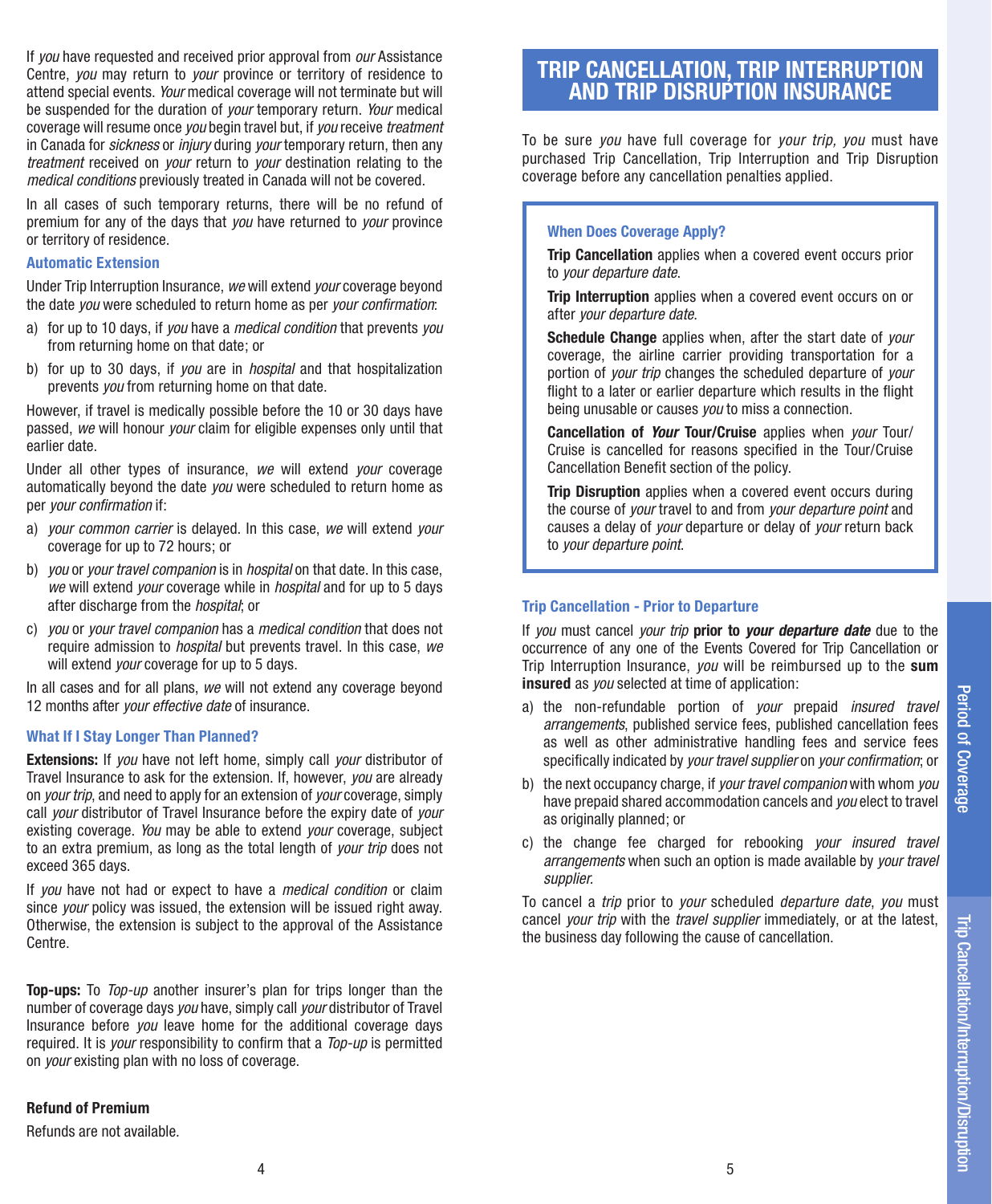If *you* have requested and received prior approval from *our* Assistance Centre, *you* may return to *your* province or territory of residence to attend special events. *Your* medical coverage will not terminate but will be suspended for the duration of *your* temporary return. *Your* medical coverage will resume once *you* begin travel but, if *you* receive *treatment* in Canada for *sickness* or *injury* during *your* temporary return, then any *treatment* received on *your* return to *your* destination relating to the *medical conditions* previously treated in Canada will not be covered.

In all cases of such temporary returns, there will be no refund of premium for any of the days that *you* have returned to *your* province or territory of residence.

### **Automatic Extension**

Under Trip Interruption Insurance, *we* will extend *your* coverage beyond the date *you* were scheduled to return home as per *your confirmation*:

- a) for up to 10 days, if *you* have a *medical condition* that prevents *you* from returning home on that date; or
- b) for up to 30 days, if *you* are in *hospital* and that hospitalization prevents *you* from returning home on that date.

However, if travel is medically possible before the 10 or 30 days have passed, *we* will honour *your* claim for eligible expenses only until that earlier date.

Under all other types of insurance, *we* will extend *your* coverage automatically beyond the date *you* were scheduled to return home as per *your confirmation* if:

- a) *your common carrier* is delayed. In this case, *we* will extend *your* coverage for up to 72 hours; or
- b) *you* or *your travel companion* is in *hospital* on that date. In this case, *we* will extend *your* coverage while in *hospital* and for up to 5 days after discharge from the *hospital*; or
- c) *you* or *your travel companion* has a *medical condition* that does not require admission to *hospital* but prevents travel. In this case, *we*  will extend *your* coverage for up to 5 days.

In all cases and for all plans, *we* will not extend any coverage beyond 12 months after *your effective date* of insurance.

### **What If I Stay Longer Than Planned?**

**Extensions:** If *you* have not left home, simply call *your* distributor of Travel Insurance to ask for the extension. If, however, *you* are already on *your trip*, and need to apply for an extension of *your* coverage, simply call *your* distributor of Travel Insurance before the expiry date of *your*  existing coverage. *You* may be able to extend *your* coverage, subject to an extra premium, as long as the total length of *your trip* does not exceed 365 days.

If *you* have not had or expect to have a *medical condition* or claim since *your* policy was issued, the extension will be issued right away. Otherwise, the extension is subject to the approval of the Assistance Centre.

**Top-ups:** To *Top-up* another insurer's plan for trips longer than the number of coverage days *you* have, simply call *your* distributor of Travel Insurance before *you* leave home for the additional coverage days required. It is *your* responsibility to confirm that a *Top-up* is permitted on *your* existing plan with no loss of coverage.

### **Refund of Premium**

Refunds are not available.

# **TRIP CANCELLATION, TRIP INTERRUPTION AND TRIP DISRUPTION INSURANCE**

To be sure *you* have full coverage for *your trip, you* must have purchased Trip Cancellation, Trip Interruption and Trip Disruption coverage before any cancellation penalties applied.

### **When Does Coverage Apply?**

**Trip Cancellation** applies when a covered event occurs prior to *your departure date*.

**Trip Interruption** applies when a covered event occurs on or after *your departure date*.

**Schedule Change** applies when, after the start date of *your* coverage, the airline carrier providing transportation for a portion of *your trip* changes the scheduled departure of *your* flight to a later or earlier departure which results in the flight being unusable or causes *you* to miss a connection.

**Cancellation of** *Your* **Tour/Cruise** applies when *your* Tour/ Cruise is cancelled for reasons specified in the Tour/Cruise Cancellation Benefit section of the policy.

**Trip Disruption** applies when a covered event occurs during the course of *your* travel to and from *your departure point* and causes a delay of *your* departure or delay of *your* return back to *your departure point*.

### **Trip Cancellation - Prior to Departure**

If *you* must cancel *your trip* **prior to your departure date** due to the occurrence of any one of the Events Covered for Trip Cancellation or Trip Interruption Insurance, *you* will be reimbursed up to the **sum insured** as *you* selected at time of application:

- a) the non-refundable portion of *your* prepaid *insured travel arrangements*, published service fees, published cancellation fees as well as other administrative handling fees and service fees specifically indicated by *your travel supplier* on *your confirmation*; or
- b) the next occupancy charge, if *your travel companion* with whom *you* have prepaid shared accommodation cancels and *you* elect to travel as originally planned; or
- c) the change fee charged for rebooking *your insured travel arrangements* when such an option is made available by *your travel supplier.*

To cancel a *trip* prior to *your* scheduled *departure date*, *you* must cancel *your trip* with the *travel supplier* immediately, or at the latest, the business day following the cause of cancellation.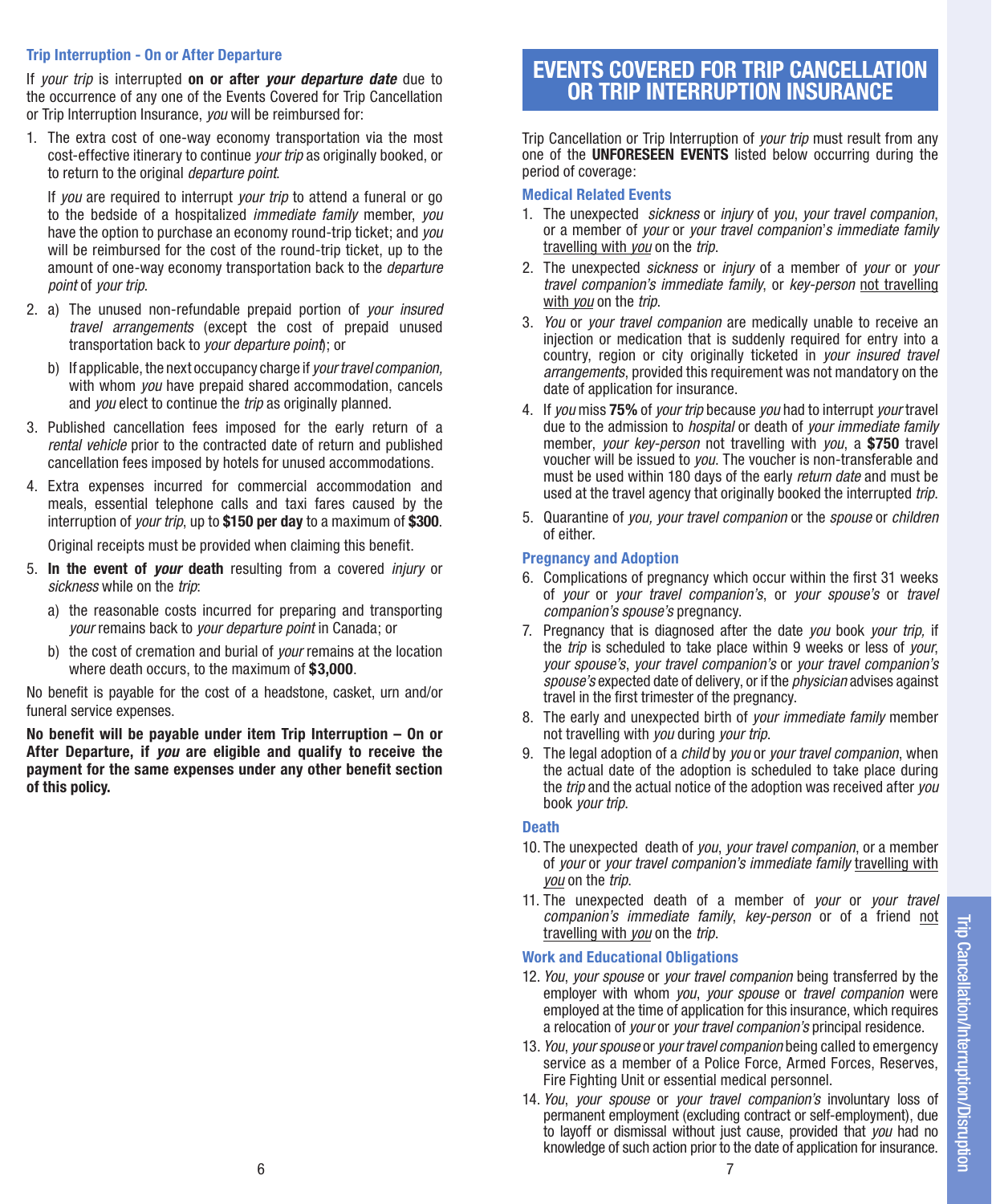### **Trip Interruption - On or After Departure**

If *your trip* is interrupted **on or after** *your departure date* due to the occurrence of any one of the Events Covered for Trip Cancellation or Trip Interruption Insurance, *you* will be reimbursed for:

1. The extra cost of one-way economy transportation via the most cost-effective itinerary to continue *your trip* as originally booked, or to return to the original *departure point*.

If *you* are required to interrupt *your trip* to attend a funeral or go to the bedside of a hospitalized *immediate family* member, *you* have the option to purchase an economy round-trip ticket; and *you* will be reimbursed for the cost of the round-trip ticket, up to the amount of one-way economy transportation back to the *departure point* of *your trip*.

- 2. a) The unused non-refundable prepaid portion of *your insured travel arrangements* (except the cost of prepaid unused transportation back to *your departure point*); or
	- b) If applicable, the next occupancy charge if *yourtravel companion,* with whom *you* have prepaid shared accommodation, cancels and *you* elect to continue the *trip* as originally planned.
- 3. Published cancellation fees imposed for the early return of a *rental vehicle* prior to the contracted date of return and published cancellation fees imposed by hotels for unused accommodations.
- 4. Extra expenses incurred for commercial accommodation and meals, essential telephone calls and taxi fares caused by the interruption of *your trip*, up to **\$150 per day** to a maximum of **\$300**.

Original receipts must be provided when claiming this benefit.

- 5. **In the event of** *your* **death** resulting from a covered *injury* or *sickness* while on the *trip*:
	- a) the reasonable costs incurred for preparing and transporting *your* remains back to *your departure point* in Canada; or
	- b) the cost of cremation and burial of *your* remains at the location where death occurs, to the maximum of **\$3,000**.

No benefit is payable for the cost of a headstone, casket, urn and/or funeral service expenses.

**No benefit will be payable under item Trip Interruption – On or After Departure, if** *you* **are eligible and qualify to receive the payment for the same expenses under any other benefit section of this policy.**

# **EVENTS COVERED FOR TRIP CANCELLATION OR TRIP INTERRUPTION INSURANCE**

Trip Cancellation or Trip Interruption of *your trip* must result from any one of the **UNFORESEEN EVENTS** listed below occurring during the period of coverage:

### **Medical Related Events**

- 1. The unexpected *sickness* or *injury* of *you*, *your travel companion*, or a member of *your* or *your travel companion*'*s immediate family*  travelling with *you* on the *trip*.
- 2. The unexpected *sickness* or *injury* of a member of *your* or *your travel companion's immediate family*, or *key-person* not travelling with *you* on the *trip*.
- 3. *You* or *your travel companion* are medically unable to receive an injection or medication that is suddenly required for entry into a country, region or city originally ticketed in *your insured travel arrangements*, provided this requirement was not mandatory on the date of application for insurance.
- 4. If *you* miss **75%** of *your trip* because *you* had to interrupt *your* travel due to the admission to *hospital* or death of *your immediate family*  member, *your key-person* not travelling with *you*, a **\$750** travel voucher will be issued to *you*. The voucher is non-transferable and must be used within 180 days of the early *return date* and must be used at the travel agency that originally booked the interrupted *trip*.
- 5. Quarantine of *you, your travel companion* or the *spouse* or *children* of either.

### **Pregnancy and Adoption**

- 6. Complications of pregnancy which occur within the first 31 weeks of *your* or *your travel companion's*, or *your spouse's* or *travel companion's spouse's* pregnancy.
- 7. Pregnancy that is diagnosed after the date *you* book *your trip,* if the *trip* is scheduled to take place within 9 weeks or less of *your*, *your spouse's*, *your travel companion's* or *your travel companion's spouse's* expected date of delivery, or if the *physician* advises against travel in the first trimester of the pregnancy.
- 8. The early and unexpected birth of *your immediate family* member not travelling with *you* during *your trip*.
- 9. The legal adoption of a *child* by *you* or *your travel companion*, when the actual date of the adoption is scheduled to take place during the *trip* and the actual notice of the adoption was received after *you*  book *your trip*.

### **Death**

- 10. The unexpected death of *you*, *your travel companion*, or a member of *your* or *your travel companion's immediate family* travelling with *you* on the *trip*.
- 11. The unexpected death of a member of *your* or *your travel companion's immediate family*, *key-person* or of a friend not travelling with *you* on the *trip*.

### **Work and Educational Obligations**

- 12. *You*, *your spouse* or *your travel companion* being transferred by the employer with whom *you*, *your spouse* or *travel companion* were employed at the time of application for this insurance, which requires a relocation of *your* or *your travel companion's* principal residence.
- 13. *You*, *your spouse* or *your travel companion* being called to emergency service as a member of a Police Force, Armed Forces, Reserves, Fire Fighting Unit or essential medical personnel.
- 14. *You*, *your spouse* or *your travel companion's* involuntary loss of permanent employment (excluding contract or self-employment), due to layoff or dismissal without just cause, provided that *you* had no knowledge of such action prior to the date of application for insurance.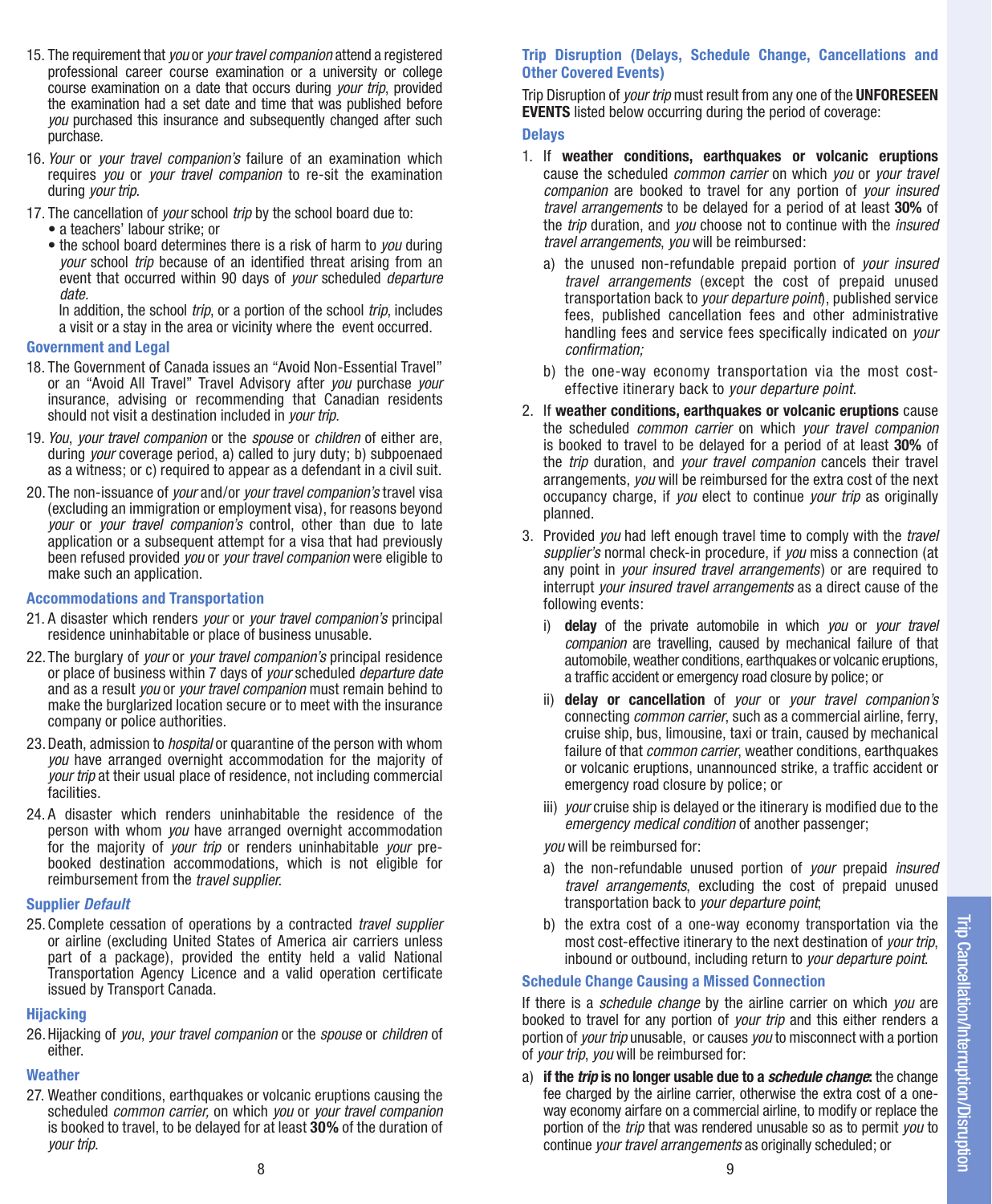- 15. The requirement that *you* or *your travel companion* attend a registered professional career course examination or a university or college course examination on a date that occurs during *your trip*, provided the examination had a set date and time that was published before *you* purchased this insurance and subsequently changed after such purchase.
- 16. *Your* or *your travel companion's* failure of an examination which requires *you* or *your travel companion* to re-sit the examination during *your trip*.
- 17. The cancellation of *your* school *trip* by the school board due to:
	- a teachers' labour strike; or
	- the school board determines there is a risk of harm to *you* during *your* school *trip* because of an identified threat arising from an event that occurred within 90 days of *your* scheduled *departure date.*

In addition, the school *trip*, or a portion of the school *trip*, includes a visit or a stay in the area or vicinity where the event occurred.

### **Government and Legal**

- 18. The Government of Canada issues an "Avoid Non-Essential Travel" or an "Avoid All Travel" Travel Advisory after *you* purchase *your* insurance, advising or recommending that Canadian residents should not visit a destination included in *your trip*.
- 19. *You*, *your travel companion* or the *spouse* or *children* of either are, during *your* coverage period, a) called to jury duty; b) subpoenaed as a witness; or c) required to appear as a defendant in a civil suit.
- 20. The non-issuance of *your* and/or *your travel companion's* travel visa (excluding an immigration or employment visa), for reasons beyond *your* or *your travel companion's* control, other than due to late application or a subsequent attempt for a visa that had previously been refused provided *you* or *your travel companion* were eligible to make such an application.

### **Accommodations and Transportation**

- 21. A disaster which renders *your* or *your travel companion's* principal residence uninhabitable or place of business unusable.
- 22. The burglary of *your* or *your travel companion's* principal residence or place of business within 7 days of *your* scheduled *departure date* and as a result *you* or *your travel companion* must remain behind to make the burglarized location secure or to meet with the insurance company or police authorities.
- 23. Death, admission to *hospital* or quarantine of the person with whom *you* have arranged overnight accommodation for the majority of *your trip* at their usual place of residence, not including commercial facilities.
- 24. A disaster which renders uninhabitable the residence of the person with whom *you* have arranged overnight accommodation for the majority of *your trip* or renders uninhabitable *your* prebooked destination accommodations, which is not eligible for reimbursement from the travel supplier.

### **Supplier** *Default*

25. Complete cessation of operations by a contracted *travel supplier*  or airline (excluding United States of America air carriers unless part of a package), provided the entity held a valid National Transportation Agency Licence and a valid operation certificate issued by Transport Canada.

### **Hijacking**

26. Hijacking of *you*, *your travel companion* or the *spouse* or *children* of either.

### **Weather**

27. Weather conditions, earthquakes or volcanic eruptions causing the scheduled *common carrier,* on which *you* or *your travel companion* is booked to travel, to be delayed for at least **30%** of the duration of *your trip*.

### **Trip Disruption (Delays, Schedule Change, Cancellations and Other Covered Events)**

Trip Disruption of *your trip* must result from any one of the **UNFORESEEN EVENTS** listed below occurring during the period of coverage:

### **Delays**

- 1. If **weather conditions, earthquakes or volcanic eruptions** cause the scheduled *common carrier* on which *you* or *your travel companion* are booked to travel for any portion of *your insured travel arrangements* to be delayed for a period of at least **30%** of the *trip* duration, and *you* choose not to continue with the *insured travel arrangements*, *you* will be reimbursed:
	- a) the unused non-refundable prepaid portion of *your insured travel arrangements* (except the cost of prepaid unused transportation back to *your departure point*), published service fees, published cancellation fees and other administrative handling fees and service fees specifically indicated on *your confirmation;*
	- b) the one-way economy transportation via the most costeffective itinerary back to *your departure point*.
- 2. If **weather conditions, earthquakes or volcanic eruptions** cause the scheduled *common carrier* on which *your travel companion* is booked to travel to be delayed for a period of at least **30%** of the *trip* duration, and *your travel companion* cancels their travel arrangements, *you* will be reimbursed for the extra cost of the next occupancy charge, if *you* elect to continue *your trip* as originally planned.
- 3. Provided *you* had left enough travel time to comply with the *travel supplier's* normal check-in procedure, if *you* miss a connection (at any point in *your insured travel arrangements* ) or are required to interrupt *your insured travel arrangements* as a direct cause of the following events:
	- i) **delay** of the private automobile in which *you* or *your travel companion* are travelling, caused by mechanical failure of that automobile, weather conditions, earthquakes or volcanic eruptions, a traffic accident or emergency road closure by police; or
	- ii) **delay or cancellation** of *your* or *your travel companion's* connecting *common carrier*, such as a commercial airline, ferry, cruise ship, bus, limousine, taxi or train, caused by mechanical failure of that *common carrier*, weather conditions, earthquakes or volcanic eruptions, unannounced strike, a traffic accident or emergency road closure by police; or
	- iii) *your* cruise ship is delayed or the itinerary is modified due to the *emergency medical condition* of another passenger;

*you* will be reimbursed for:

- a) the non-refundable unused portion of *your* prepaid *insured travel arrangements*, excluding the cost of prepaid unused transportation back to *your departure point*;
- b) the extra cost of a one-way economy transportation via the most cost-effective itinerary to the next destination of *your trip*, inbound or outbound, including return to *your departure point*.

### **Schedule Change Causing a Missed Connection**

If there is a *schedule change* by the airline carrier on which *you* are booked to travel for any portion of *your trip* and this either renders a portion of *your trip* unusable, or causes *you* to misconnect with a portion of *your trip*, *you* will be reimbursed for:

a) **if the** *trip* **is no longer usable due to a** *schedule change***:** the change fee charged by the airline carrier, otherwise the extra cost of a oneway economy airfare on a commercial airline, to modify or replace the portion of the *trip* that was rendered unusable so as to permit *you* to continue *your travel arrangements* as originally scheduled; or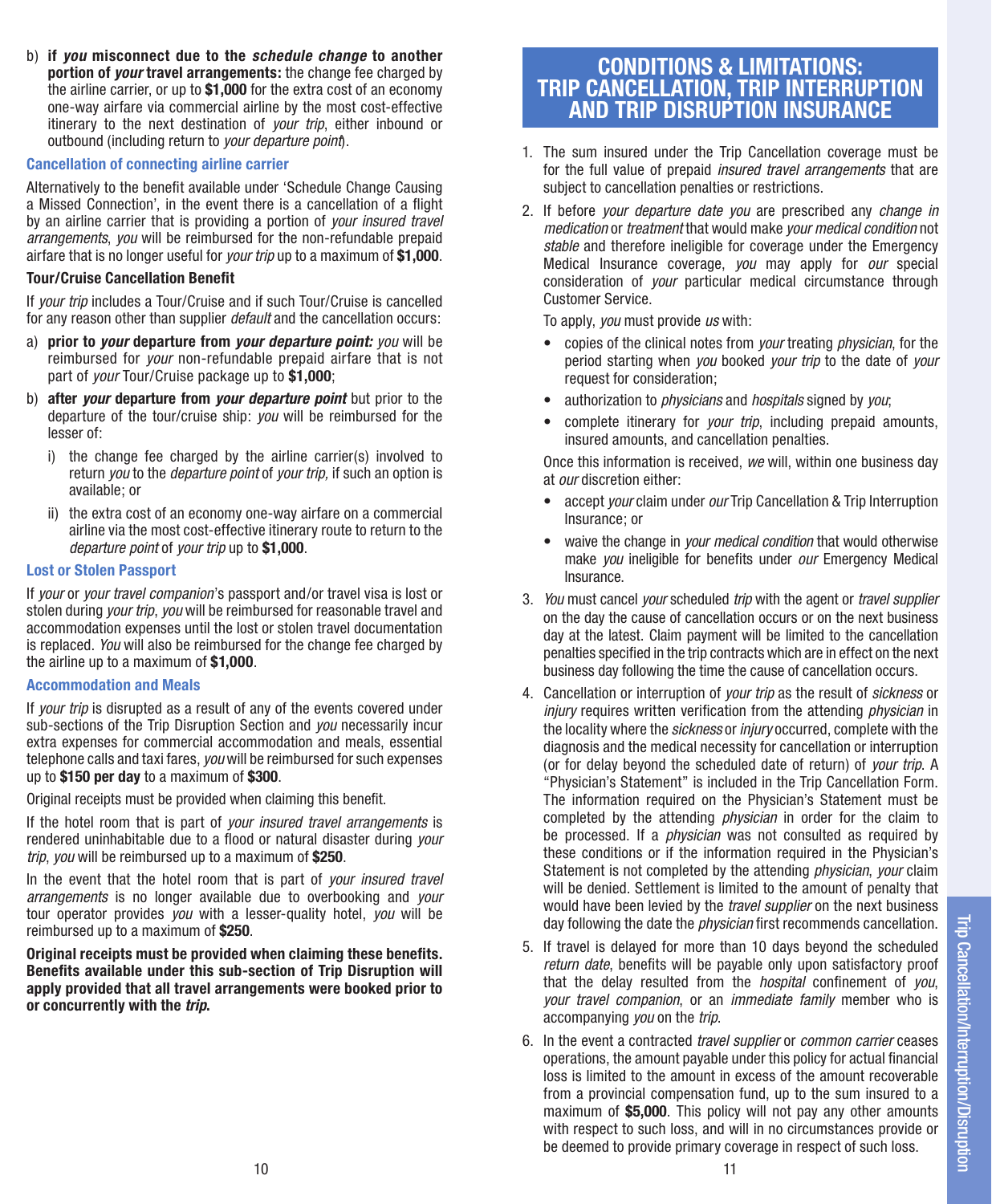b) **if you misconnect due to the schedule change to another portion of your travel arrangements:** the change fee charged by the airline carrier, or up to **\$1,000** for the extra cost of an economy one-way airfare via commercial airline by the most cost-effective itinerary to the next destination of *your trip*, either inbound or outbound (including return to *your departure point*).

### **Cancellation of connecting airline carrier**

Alternatively to the benefit available under 'Schedule Change Causing a Missed Connection', in the event there is a cancellation of a flight by an airline carrier that is providing a portion of *your insured travel arrangements*, *you* will be reimbursed for the non-refundable prepaid airfare that is no longer useful for *your trip* up to a maximum of **\$1,000**.

### **Tour/Cruise Cancellation Benefit**

If *your trip* includes a Tour/Cruise and if such Tour/Cruise is cancelled for any reason other than supplier *default* and the cancellation occurs:

- a) **prior to** *your* **departure from** *your departure point: you* will be reimbursed for *your* non-refundable prepaid airfare that is not part of *your* Tour/Cruise package up to **\$1,000**;
- b) **after** *your* **departure from** *your departure point* but prior to the departure of the tour/cruise ship: *you* will be reimbursed for the lesser of:
	- i) the change fee charged by the airline carrier(s) involved to return *you* to the *departure point* of *your trip,* if such an option is available; or
	- ii) the extra cost of an economy one-way airfare on a commercial airline via the most cost-effective itinerary route to return to the *departure point* of *your trip* up to **\$1,000**.

### **Lost or Stolen Passport**

If *your* or *your travel companion*'s passport and/or travel visa is lost or stolen during *your trip*, *you* will be reimbursed for reasonable travel and accommodation expenses until the lost or stolen travel documentation is replaced. *You* will also be reimbursed for the change fee charged by the airline up to a maximum of **\$1,000**.

### **Accommodation and Meals**

If *your trip* is disrupted as a result of any of the events covered under sub-sections of the Trip Disruption Section and *you* necessarily incur extra expenses for commercial accommodation and meals, essential telephone calls and taxi fares, *you* will be reimbursed for such expenses up to **\$150 per day** to a maximum of **\$300**.

Original receipts must be provided when claiming this benefit.

If the hotel room that is part of *your insured travel arrangements* is rendered uninhabitable due to a flood or natural disaster during *your trip*, *you* will be reimbursed up to a maximum of **\$250**.

In the event that the hotel room that is part of *your insured travel arrangements* is no longer available due to overbooking and *your* tour operator provides *you* with a lesser-quality hotel, *you* will be reimbursed up to a maximum of **\$250**.

**Original receipts must be provided when claiming these benefits. Benefits available under this sub-section of Trip Disruption will apply provided that all travel arrangements were booked prior to or concurrently with the** *trip***.**

# **CONDITIONS & LIMITATIONS: TRIP CANCELLATION, TRIP INTERRUPTION AND TRIP DISRUPTION INSURANCE**

- 1. The sum insured under the Trip Cancellation coverage must be for the full value of prepaid *insured travel arrangements* that are subject to cancellation penalties or restrictions.
- 2. If before *your departure date you* are prescribed any *change in medication* or *treatment* that would make *your medical condition* not *stable* and therefore ineligible for coverage under the Emergency Medical Insurance coverage, *you* may apply for *our* special consideration of *your* particular medical circumstance through Customer Service.

To apply, *you* must provide *us* with:

- copies of the clinical notes from *your* treating *physician*, for the period starting when *you* booked *your trip* to the date of *your* request for consideration;
- authorization to *physicians* and *hospitals* signed by *you*;
- complete itinerary for *your trip*, including prepaid amounts, insured amounts, and cancellation penalties.

 Once this information is received, *we* will, within one business day at *our* discretion either:

- accept *your* claim under *our* Trip Cancellation & Trip Interruption Insurance; or
- waive the change in *your medical condition* that would otherwise make *you* ineligible for benefits under *our* Emergency Medical Insurance.
- 3. *You* must cancel *your* scheduled *trip* with the agent or *travel supplier*  on the day the cause of cancellation occurs or on the next business day at the latest. Claim payment will be limited to the cancellation penalties specified in the trip contracts which are in effect on the next business day following the time the cause of cancellation occurs.
- 4. Cancellation or interruption of *your trip* as the result of *sickness* or *injury* requires written verification from the attending *physician* in the locality where the *sickness* or *injury* occurred, complete with the diagnosis and the medical necessity for cancellation or interruption (or for delay beyond the scheduled date of return) of *your trip*. A "Physician's Statement" is included in the Trip Cancellation Form. The information required on the Physician's Statement must be completed by the attending *physician* in order for the claim to be processed. If a *physician* was not consulted as required by these conditions or if the information required in the Physician's Statement is not completed by the attending *physician*, *your* claim will be denied. Settlement is limited to the amount of penalty that would have been levied by the *travel supplier* on the next business day following the date the *physician* first recommends cancellation.
- 5. If travel is delayed for more than 10 days beyond the scheduled *return date*, benefits will be payable only upon satisfactory proof that the delay resulted from the *hospital* confinement of *you*, *your travel companion*, or an *immediate family* member who is accompanying *you* on the *trip*.
- 6. In the event a contracted *travel supplier* or *common carrier* ceases operations, the amount payable under this policy for actual financial loss is limited to the amount in excess of the amount recoverable from a provincial compensation fund, up to the sum insured to a maximum of **\$5,000**. This policy will not pay any other amounts with respect to such loss, and will in no circumstances provide or be deemed to provide primary coverage in respect of such loss.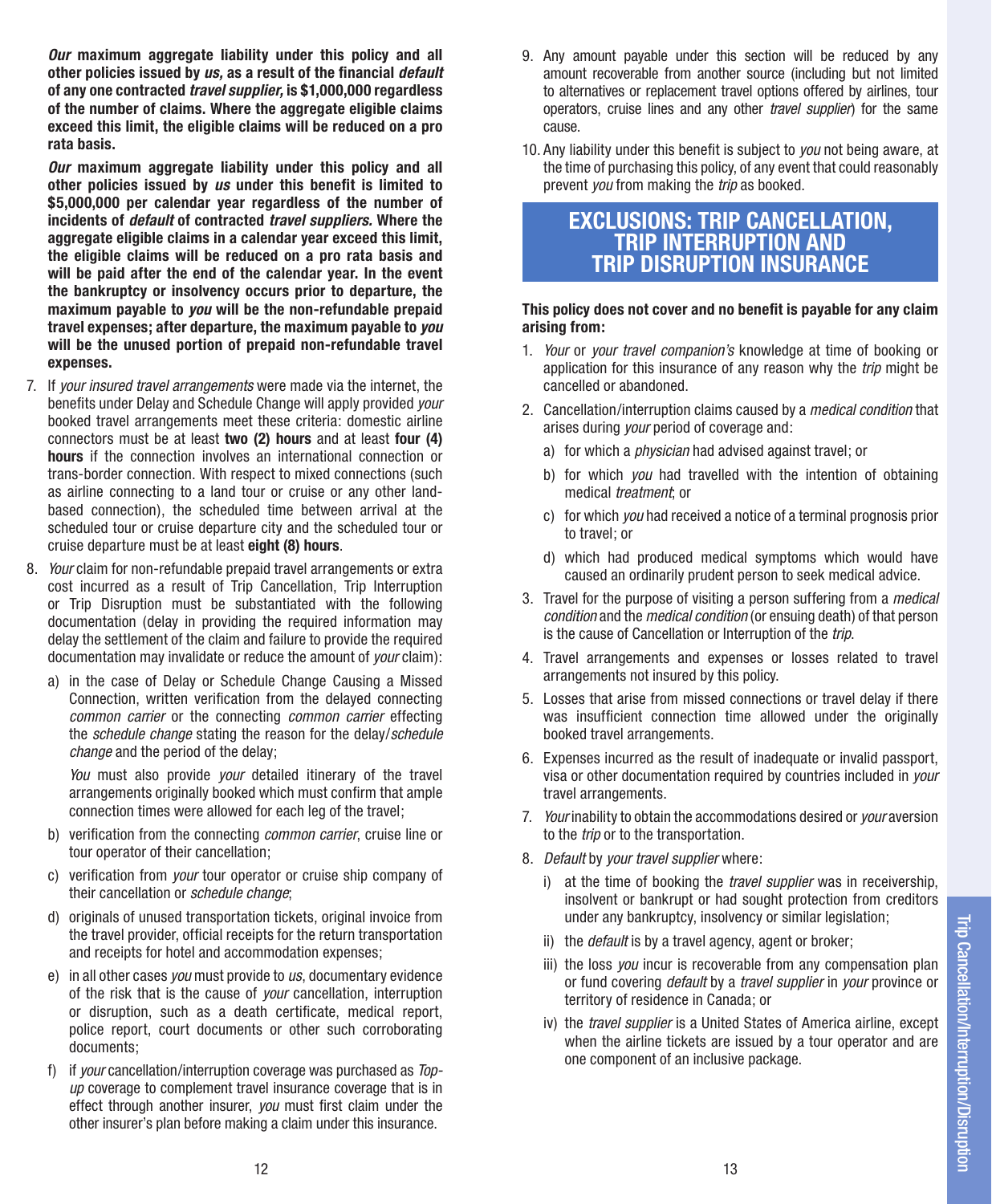*Our* **maximum aggregate liability under this policy and all other policies issued by** *us,* **as a result of the financial** *default* **of any one contracted** *travel supplier,* **is \$1,000,000 regardless of the number of claims. Where the aggregate eligible claims exceed this limit, the eligible claims will be reduced on a pro rata basis.**

 *Our* **maximum aggregate liability under this policy and all other policies issued by** *us* **under this benefit is limited to \$5,000,000 per calendar year regardless of the number of incidents of** *default* **of contracted** *travel suppliers.* **Where the aggregate eligible claims in a calendar year exceed this limit, the eligible claims will be reduced on a pro rata basis and will be paid after the end of the calendar year. In the event the bankruptcy or insolvency occurs prior to departure, the maximum payable to** *you* **will be the non-refundable prepaid travel expenses; after departure, the maximum payable to** *you* **will be the unused portion of prepaid non-refundable travel expenses.**

- 7. If *your insured travel arrangements* were made via the internet, the benefits under Delay and Schedule Change will apply provided *your* booked travel arrangements meet these criteria: domestic airline connectors must be at least **two (2) hours** and at least **four (4) hours** if the connection involves an international connection or trans-border connection. With respect to mixed connections (such as airline connecting to a land tour or cruise or any other landbased connection), the scheduled time between arrival at the scheduled tour or cruise departure city and the scheduled tour or cruise departure must be at least **eight (8) hours**.
- 8. *Your* claim for non-refundable prepaid travel arrangements or extra cost incurred as a result of Trip Cancellation, Trip Interruption or Trip Disruption must be substantiated with the following documentation (delay in providing the required information may delay the settlement of the claim and failure to provide the required documentation may invalidate or reduce the amount of *your* claim):
	- a) in the case of Delay or Schedule Change Causing a Missed Connection, written verification from the delayed connecting *common carrier* or the connecting *common carrier* effecting the *schedule change* stating the reason for the delay/*schedule change* and the period of the delay;

*You* must also provide *your* detailed itinerary of the travel arrangements originally booked which must confirm that ample connection times were allowed for each leg of the travel;

- b) verification from the connecting *common carrier*, cruise line or tour operator of their cancellation;
- c) verification from *your* tour operator or cruise ship company of their cancellation or *schedule change*;
- d) originals of unused transportation tickets, original invoice from the travel provider, official receipts for the return transportation and receipts for hotel and accommodation expenses;
- e) in all other cases *you* must provide to *us*, documentary evidence of the risk that is the cause of *your* cancellation, interruption or disruption, such as a death certificate, medical report, police report, court documents or other such corroborating documents;
- f) if *your* cancellation/interruption coverage was purchased as *Topup* coverage to complement travel insurance coverage that is in effect through another insurer, *you* must first claim under the other insurer's plan before making a claim under this insurance.
- 9. Any amount payable under this section will be reduced by any amount recoverable from another source (including but not limited to alternatives or replacement travel options offered by airlines, tour operators, cruise lines and any other *travel supplier*) for the same cause.
- 10. Any liability under this benefit is subject to *you* not being aware, at the time of purchasing this policy, of any event that could reasonably prevent *you* from making the *trip* as booked.

# **EXCLUSIONS: TRIP CANCELLATION, TRIP INTERRUPTION AND TRIP DISRUPTION INSURANCE**

### **This policy does not cover and no benefit is payable for any claim arising from:**

- 1. *Your* or *your travel companion's* knowledge at time of booking or application for this insurance of any reason why the *trip* might be cancelled or abandoned.
- 2. Cancellation/interruption claims caused by a *medical condition* that arises during *your* period of coverage and:
	- a) for which a *physician* had advised against travel; or
	- b) for which *you* had travelled with the intention of obtaining medical *treatment*; or
	- c) for which *you* had received a notice of a terminal prognosis prior to travel; or
	- d) which had produced medical symptoms which would have caused an ordinarily prudent person to seek medical advice.
- 3. Travel for the purpose of visiting a person suffering from a *medical condition* and the *medical condition* (or ensuing death) of that person is the cause of Cancellation or Interruption of the *trip*.
- 4. Travel arrangements and expenses or losses related to travel arrangements not insured by this policy.
- 5. Losses that arise from missed connections or travel delay if there was insufficient connection time allowed under the originally booked travel arrangements.
- 6. Expenses incurred as the result of inadequate or invalid passport, visa or other documentation required by countries included in *your* travel arrangements.
- 7. *Your* inability to obtain the accommodations desired or *your* aversion to the *trip* or to the transportation.
- 8. *Default* by *your travel supplier* where:
	- i) at the time of booking the *travel supplier* was in receivership, insolvent or bankrupt or had sought protection from creditors under any bankruptcy, insolvency or similar legislation;
	- ii) the *default* is by a travel agency, agent or broker;
	- iii) the loss *you* incur is recoverable from any compensation plan or fund covering *default* by a *travel supplier* in *your* province or territory of residence in Canada; or
	- iv) the *travel supplier* is a United States of America airline, except when the airline tickets are issued by a tour operator and are one component of an inclusive package.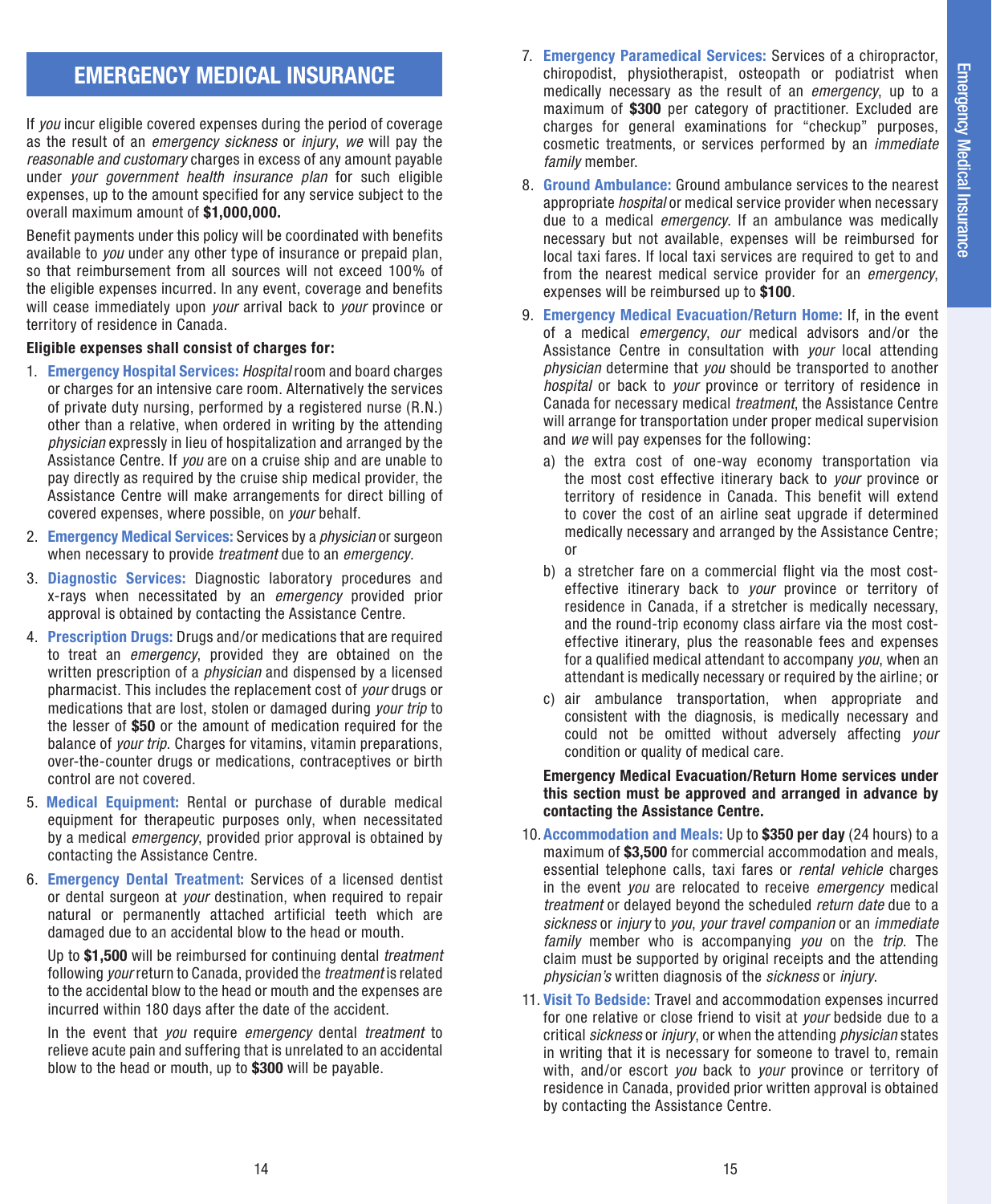# **EMERGENCY MEDICAL INSURANCE**

If *you* incur eligible covered expenses during the period of coverage as the result of an *emergency sickness* or *injury*, *we* will pay the *reasonable and customary* charges in excess of any amount payable under *your government health insurance plan* for such eligible expenses, up to the amount specified for any service subject to the overall maximum amount of **\$1,000,000.**

Benefit payments under this policy will be coordinated with benefits available to *you* under any other type of insurance or prepaid plan, so that reimbursement from all sources will not exceed 100% of the eligible expenses incurred. In any event, coverage and benefits will cease immediately upon *your* arrival back to *your* province or territory of residence in Canada.

### **Eligible expenses shall consist of charges for:**

- 1. **Emergency Hospital Services:** *Hospital* room and board charges or charges for an intensive care room. Alternatively the services of private duty nursing, performed by a registered nurse (R.N.) other than a relative, when ordered in writing by the attending *physician* expressly in lieu of hospitalization and arranged by the Assistance Centre. If *you* are on a cruise ship and are unable to pay directly as required by the cruise ship medical provider, the Assistance Centre will make arrangements for direct billing of covered expenses, where possible, on *your* behalf.
- 2. **Emergency Medical Services:** Services by a *physician* or surgeon when necessary to provide *treatment* due to an *emergency*.
- 3. **Diagnostic Services:** Diagnostic laboratory procedures and x-rays when necessitated by an *emergency* provided prior approval is obtained by contacting the Assistance Centre.
- 4. **Prescription Drugs:** Drugs and/or medications that are required to treat an *emergency*, provided they are obtained on the written prescription of a *physician* and dispensed by a licensed pharmacist. This includes the replacement cost of *your* drugs or medications that are lost, stolen or damaged during *your trip* to the lesser of **\$50** or the amount of medication required for the balance of *your trip*. Charges for vitamins, vitamin preparations, over-the-counter drugs or medications, contraceptives or birth control are not covered.
- 5. **Medical Equipment:** Rental or purchase of durable medical equipment for therapeutic purposes only, when necessitated by a medical *emergency*, provided prior approval is obtained by contacting the Assistance Centre.
- 6. **Emergency Dental Treatment:** Services of a licensed dentist or dental surgeon at *your* destination, when required to repair natural or permanently attached artificial teeth which are damaged due to an accidental blow to the head or mouth.

Up to **\$1,500** will be reimbursed for continuing dental *treatment* following *your* return to Canada, provided the *treatment* is related to the accidental blow to the head or mouth and the expenses are incurred within 180 days after the date of the accident.

In the event that *you* require *emergency* dental *treatment* to relieve acute pain and suffering that is unrelated to an accidental blow to the head or mouth, up to **\$300** will be payable.

- 7. **Emergency Paramedical Services:** Services of a chiropractor, chiropodist, physiotherapist, osteopath or podiatrist when medically necessary as the result of an *emergency*, up to a maximum of **\$300** per category of practitioner. Excluded are charges for general examinations for "checkup" purposes, cosmetic treatments, or services performed by an *immediate family* member.
- 8. **Ground Ambulance:** Ground ambulance services to the nearest appropriate *hospital* or medical service provider when necessary due to a medical *emergency*. If an ambulance was medically necessary but not available, expenses will be reimbursed for local taxi fares. If local taxi services are required to get to and from the nearest medical service provider for an *emergency*, expenses will be reimbursed up to **\$100**.
- 9. **Emergency Medical Evacuation/Return Home:** If, in the event of a medical *emergency*, *our* medical advisors and/or the Assistance Centre in consultation with *your* local attending *physician* determine that *you* should be transported to another *hospital* or back to *your* province or territory of residence in Canada for necessary medical *treatment*, the Assistance Centre will arrange for transportation under proper medical supervision and *we* will pay expenses for the following:
	- a) the extra cost of one-way economy transportation via the most cost effective itinerary back to *your* province or territory of residence in Canada. This benefit will extend to cover the cost of an airline seat upgrade if determined medically necessary and arranged by the Assistance Centre; or
	- b) a stretcher fare on a commercial flight via the most costeffective itinerary back to *your* province or territory of residence in Canada, if a stretcher is medically necessary, and the round-trip economy class airfare via the most costeffective itinerary, plus the reasonable fees and expenses for a qualified medical attendant to accompany *you*, when an attendant is medically necessary or required by the airline; or
	- c) air ambulance transportation, when appropriate and consistent with the diagnosis, is medically necessary and could not be omitted without adversely affecting *your* condition or quality of medical care.

### **Emergency Medical Evacuation/Return Home services under this section must be approved and arranged in advance by contacting the Assistance Centre.**

- 10.**Accommodation and Meals:** Up to **\$350 per day** (24 hours) to a maximum of **\$3,500** for commercial accommodation and meals, essential telephone calls, taxi fares or *rental vehicle* charges in the event *you* are relocated to receive *emergency* medical *treatment* or delayed beyond the scheduled *return date* due to a *sickness* or *injury* to *you*, *your travel companion* or an *immediate family* member who is accompanying *you* on the *trip*. The claim must be supported by original receipts and the attending *physician's* written diagnosis of the *sickness* or *injury*.
- 11. **Visit To Bedside:** Travel and accommodation expenses incurred for one relative or close friend to visit at *your* bedside due to a critical *sickness* or *injury*, or when the attending *physician* states in writing that it is necessary for someone to travel to, remain with, and/or escort *you* back to *your* province or territory of residence in Canada, provided prior written approval is obtained by contacting the Assistance Centre.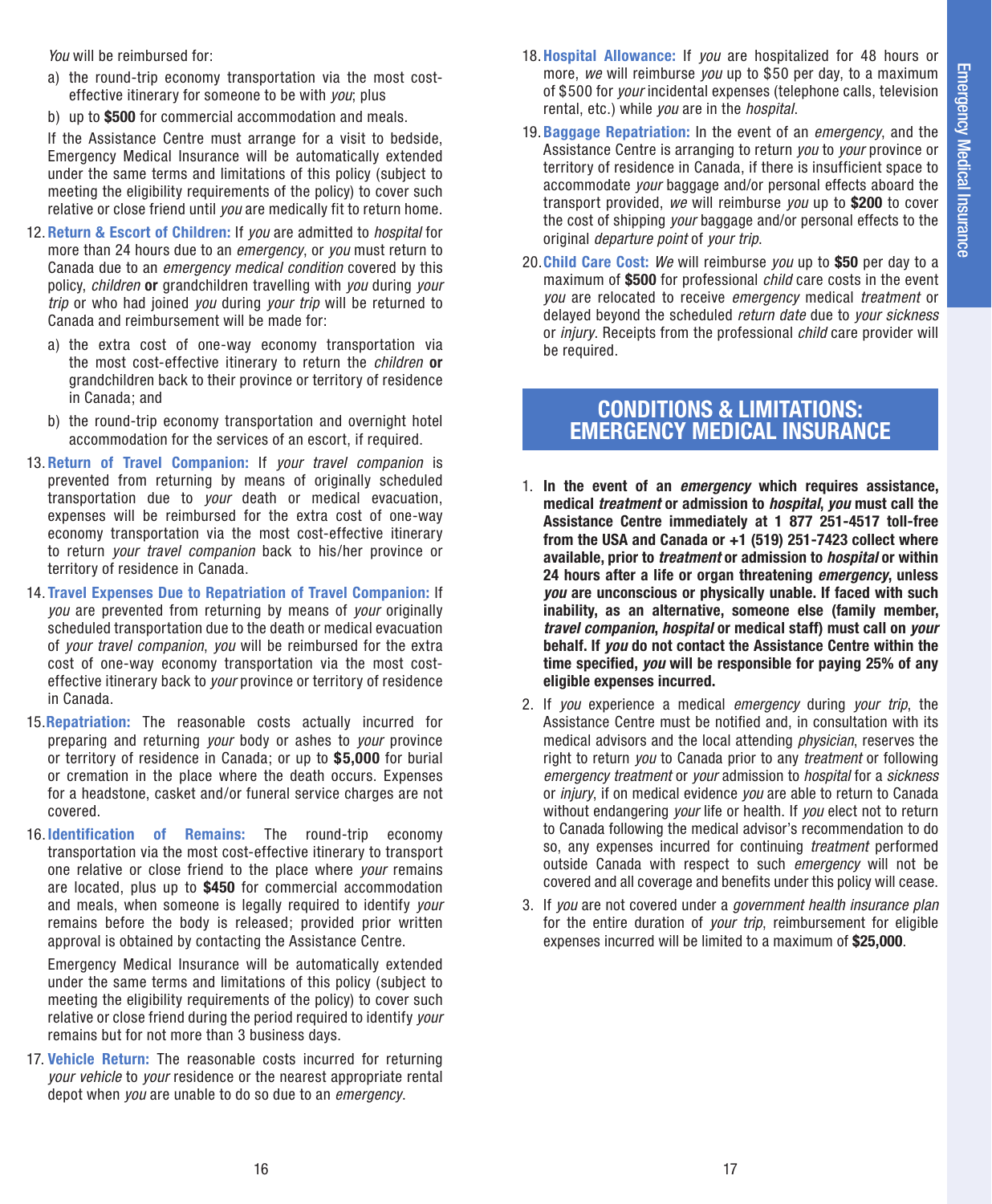*You* will be reimbursed for:

- a) the round-trip economy transportation via the most costeffective itinerary for someone to be with *you*; plus
- b) up to **\$500** for commercial accommodation and meals.

If the Assistance Centre must arrange for a visit to bedside, Emergency Medical Insurance will be automatically extended under the same terms and limitations of this policy (subject to meeting the eligibility requirements of the policy) to cover such relative or close friend until *you* are medically fit to return home.

- 12. **Return & Escort of Children:** If *you* are admitted to *hospital* for more than 24 hours due to an *emergency*, or *you* must return to Canada due to an *emergency medical condition* covered by this policy, *children* **or** grandchildren travelling with *you* during *your trip* or who had joined *you* during *your trip* will be returned to Canada and reimbursement will be made for:
	- a) the extra cost of one-way economy transportation via the most cost-effective itinerary to return the *children* **or** grandchildren back to their province or territory of residence in Canada; and
	- b) the round-trip economy transportation and overnight hotel accommodation for the services of an escort, if required.
- 13.**Return of Travel Companion:** If *your travel companion* is prevented from returning by means of originally scheduled transportation due to *your* death or medical evacuation, expenses will be reimbursed for the extra cost of one-way economy transportation via the most cost-effective itinerary to return *your travel companion* back to his/her province or territory of residence in Canada.
- 14. **Travel Expenses Due to Repatriation of Travel Companion:** If *you* are prevented from returning by means of *your* originally scheduled transportation due to the death or medical evacuation of *your travel companion*, *you* will be reimbursed for the extra cost of one-way economy transportation via the most costeffective itinerary back to *your* province or territory of residence in Canada.
- 15.**Repatriation:** The reasonable costs actually incurred for preparing and returning *your* body or ashes to *your* province or territory of residence in Canada; or up to **\$5,000** for burial or cremation in the place where the death occurs. Expenses for a headstone, casket and/or funeral service charges are not covered.
- 16.**Identification of Remains:** The round-trip economy transportation via the most cost-effective itinerary to transport one relative or close friend to the place where *your* remains are located, plus up to **\$450** for commercial accommodation and meals, when someone is legally required to identify *your* remains before the body is released; provided prior written approval is obtained by contacting the Assistance Centre.

Emergency Medical Insurance will be automatically extended under the same terms and limitations of this policy (subject to meeting the eligibility requirements of the policy) to cover such relative or close friend during the period required to identify *your* remains but for not more than 3 business days.

17. **Vehicle Return:** The reasonable costs incurred for returning *your vehicle* to *your* residence or the nearest appropriate rental depot when *you* are unable to do so due to an *emergency*.

- 18.**Hospital Allowance:** If *you* are hospitalized for 48 hours or more, *we* will reimburse *you* up to \$50 per day, to a maximum of \$500 for *your* incidental expenses (telephone calls, television rental, etc.) while *you* are in the *hospital*.
- 19.**Baggage Repatriation:** In the event of an *emergency*, and the Assistance Centre is arranging to return *you* to *your* province or territory of residence in Canada, if there is insufficient space to accommodate *your* baggage and/or personal effects aboard the transport provided, *we* will reimburse *you* up to **\$200** to cover the cost of shipping *your* baggage and/or personal effects to the original *departure point* of *your trip*.
- 20.**Child Care Cost:** *We* will reimburse *you* up to **\$50** per day to a maximum of **\$500** for professional *child* care costs in the event *you* are relocated to receive *emergency* medical *treatment* or delayed beyond the scheduled *return date* due to *your sickness* or *injury*. Receipts from the professional *child* care provider will be required.

# **CONDITIONS & LIMITATIONS: EMERGENCY MEDICAL INSURANCE**

- 1. **In the event of an** *emergency* **which requires assistance, medical** *treatment* **or admission to** *hospital***,** *you* **must call the Assistance Centre immediately at 1 877 251-4517 toll-free from the USA and Canada or +1 (519) 251-7423 collect where available, prior to** *treatment* **or admission to** *hospital* **or within 24 hours after a life or organ threatening** *emergency***, unless**  *you* **are unconscious or physically unable. If faced with such inability, as an alternative, someone else (family member,**  *travel companion***,** *hospital* **or medical staff) must call on** *your* **behalf. If** *you* **do not contact the Assistance Centre within the time specified,** *you* **will be responsible for paying 25% of any eligible expenses incurred.**
- 2. If *you* experience a medical *emergency* during *your trip*, the Assistance Centre must be notified and, in consultation with its medical advisors and the local attending *physician*, reserves the right to return *you* to Canada prior to any *treatment* or following *emergency treatment* or *your* admission to *hospital* for a *sickness* or *injury*, if on medical evidence *you* are able to return to Canada without endangering *your* life or health. If *you* elect not to return to Canada following the medical advisor's recommendation to do so, any expenses incurred for continuing *treatment* performed outside Canada with respect to such *emergency* will not be covered and all coverage and benefits under this policy will cease.
- 3. If *you* are not covered under a *government health insurance plan* for the entire duration of *your trip*, reimbursement for eligible expenses incurred will be limited to a maximum of **\$25,000**.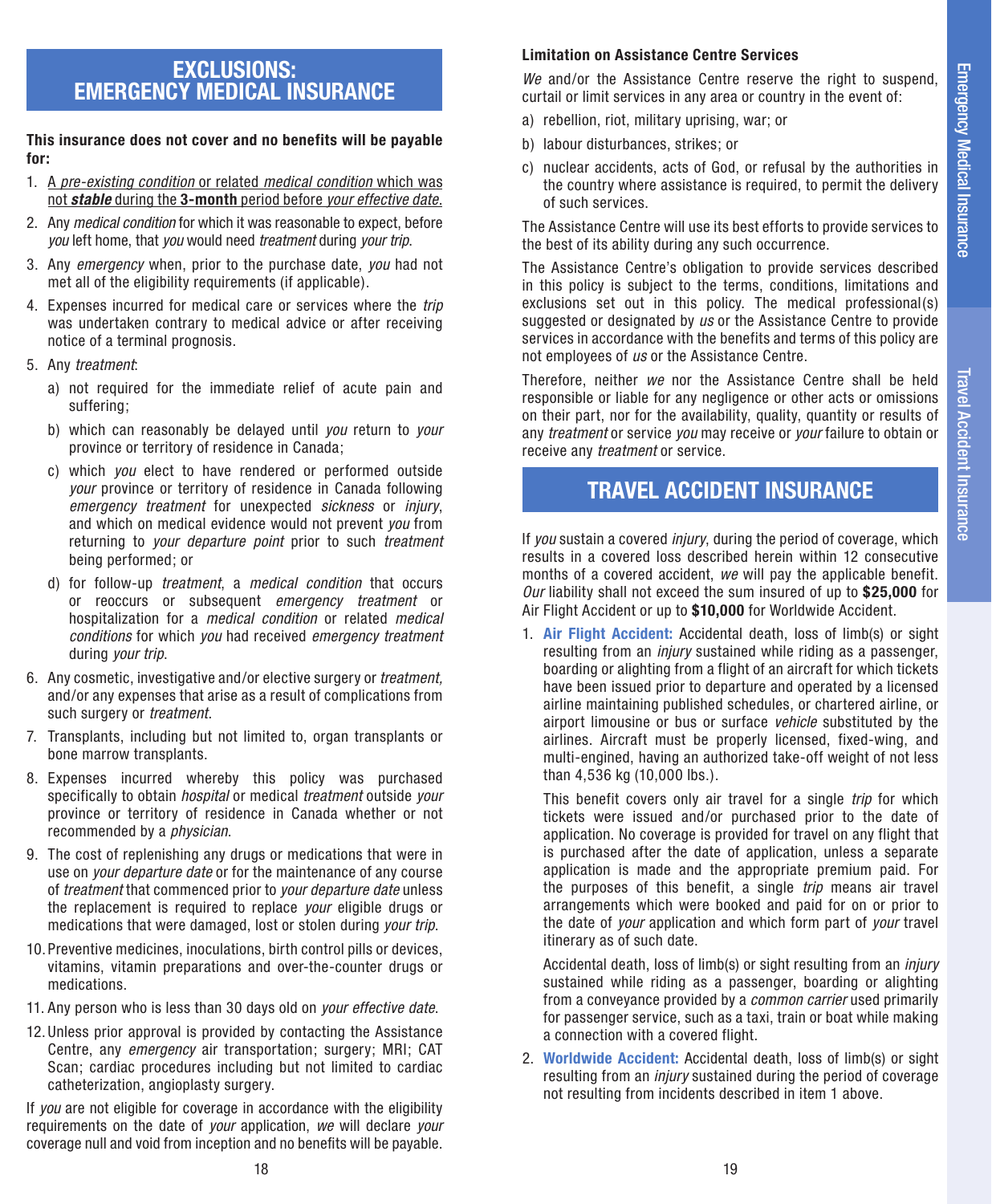Travel Accident Insurance

Travel Accident Insurance

# **EXCLUSIONS: EMERGENCY MEDICAL INSURANCE**

### **This insurance does not cover and no benefits will be payable for:**

- 1. A *pre-existing condition* or related *medical condition* which was not *stable* during the **3-month** period before *your effective date*.
- 2. Any *medical condition* for which it was reasonable to expect, before *you* left home, that *you* would need *treatment* during *your trip*.
- 3. Any *emergency* when, prior to the purchase date, *you* had not met all of the eligibility requirements (if applicable).
- 4. Expenses incurred for medical care or services where the *trip* was undertaken contrary to medical advice or after receiving notice of a terminal prognosis.
- 5. Any *treatment*:
	- a) not required for the immediate relief of acute pain and suffering;
	- b) which can reasonably be delayed until *you* return to *your* province or territory of residence in Canada;
	- c) which *you* elect to have rendered or performed outside *your* province or territory of residence in Canada following *emergency treatment* for unexpected *sickness* or *injury*, and which on medical evidence would not prevent *you* from returning to *your departure point* prior to such *treatment* being performed; or
	- d) for follow-up *treatment*, a *medical condition* that occurs or reoccurs or subsequent *emergency treatment* or hospitalization for a *medical condition* or related *medical conditions* for which *you* had received *emergency treatment* during *your trip*.
- 6. Any cosmetic, investigative and/or elective surgery or *treatment,*  and/or any expenses that arise as a result of complications from such surgery or *treatment*.
- 7. Transplants, including but not limited to, organ transplants or bone marrow transplants.
- 8. Expenses incurred whereby this policy was purchased specifically to obtain *hospital* or medical *treatment* outside *your* province or territory of residence in Canada whether or not recommended by a *physician*.
- 9. The cost of replenishing any drugs or medications that were in use on *your departure date* or for the maintenance of any course of *treatment* that commenced prior to *your departure date* unless the replacement is required to replace *your* eligible drugs or medications that were damaged, lost or stolen during *your trip*.
- 10. Preventive medicines, inoculations, birth control pills or devices, vitamins, vitamin preparations and over-the-counter drugs or medications.
- 11. Any person who is less than 30 days old on *your effective date*.
- 12. Unless prior approval is provided by contacting the Assistance Centre, any *emergency* air transportation; surgery; MRI; CAT Scan; cardiac procedures including but not limited to cardiac catheterization, angioplasty surgery.

If *you* are not eligible for coverage in accordance with the eligibility requirements on the date of *your* application, *we* will declare *your* coverage null and void from inception and no benefits will be payable.

# **Limitation on Assistance Centre Services**

*We* and/or the Assistance Centre reserve the right to suspend, curtail or limit services in any area or country in the event of:

- a) rebellion, riot, military uprising, war; or
- b) labour disturbances, strikes; or
- c) nuclear accidents, acts of God, or refusal by the authorities in the country where assistance is required, to permit the delivery of such services.

The Assistance Centre will use its best efforts to provide services to the best of its ability during any such occurrence.

The Assistance Centre's obligation to provide services described in this policy is subject to the terms, conditions, limitations and exclusions set out in this policy. The medical professional(s) suggested or designated by *us* or the Assistance Centre to provide services in accordance with the benefits and terms of this policy are not employees of *us* or the Assistance Centre.

Therefore, neither *we* nor the Assistance Centre shall be held responsible or liable for any negligence or other acts or omissions on their part, nor for the availability, quality, quantity or results of any *treatment* or service *you* may receive or *your* failure to obtain or receive any *treatment* or service.

# **TRAVEL ACCIDENT INSURANCE**

If *you* sustain a covered *injury*, during the period of coverage, which results in a covered loss described herein within 12 consecutive months of a covered accident, *we* will pay the applicable benefit. *Our* liability shall not exceed the sum insured of up to **\$25,000** for Air Flight Accident or up to **\$10,000** for Worldwide Accident.

1. **Air Flight Accident:** Accidental death, loss of limb(s) or sight resulting from an *injury* sustained while riding as a passenger, boarding or alighting from a flight of an aircraft for which tickets have been issued prior to departure and operated by a licensed airline maintaining published schedules, or chartered airline, or airport limousine or bus or surface *vehicle* substituted by the airlines. Aircraft must be properly licensed, fixed-wing, and multi-engined, having an authorized take-off weight of not less than 4,536 kg (10,000 lbs.).

This benefit covers only air travel for a single *trip* for which tickets were issued and/or purchased prior to the date of application. No coverage is provided for travel on any flight that is purchased after the date of application, unless a separate application is made and the appropriate premium paid. For the purposes of this benefit, a single *trip* means air travel arrangements which were booked and paid for on or prior to the date of *your* application and which form part of *your* travel itinerary as of such date.

Accidental death, loss of limb(s) or sight resulting from an *injury* sustained while riding as a passenger, boarding or alighting from a conveyance provided by a *common carrier* used primarily for passenger service, such as a taxi, train or boat while making a connection with a covered flight.

2. **Worldwide Accident:** Accidental death, loss of limb(s) or sight resulting from an *injury* sustained during the period of coverage not resulting from incidents described in item 1 above.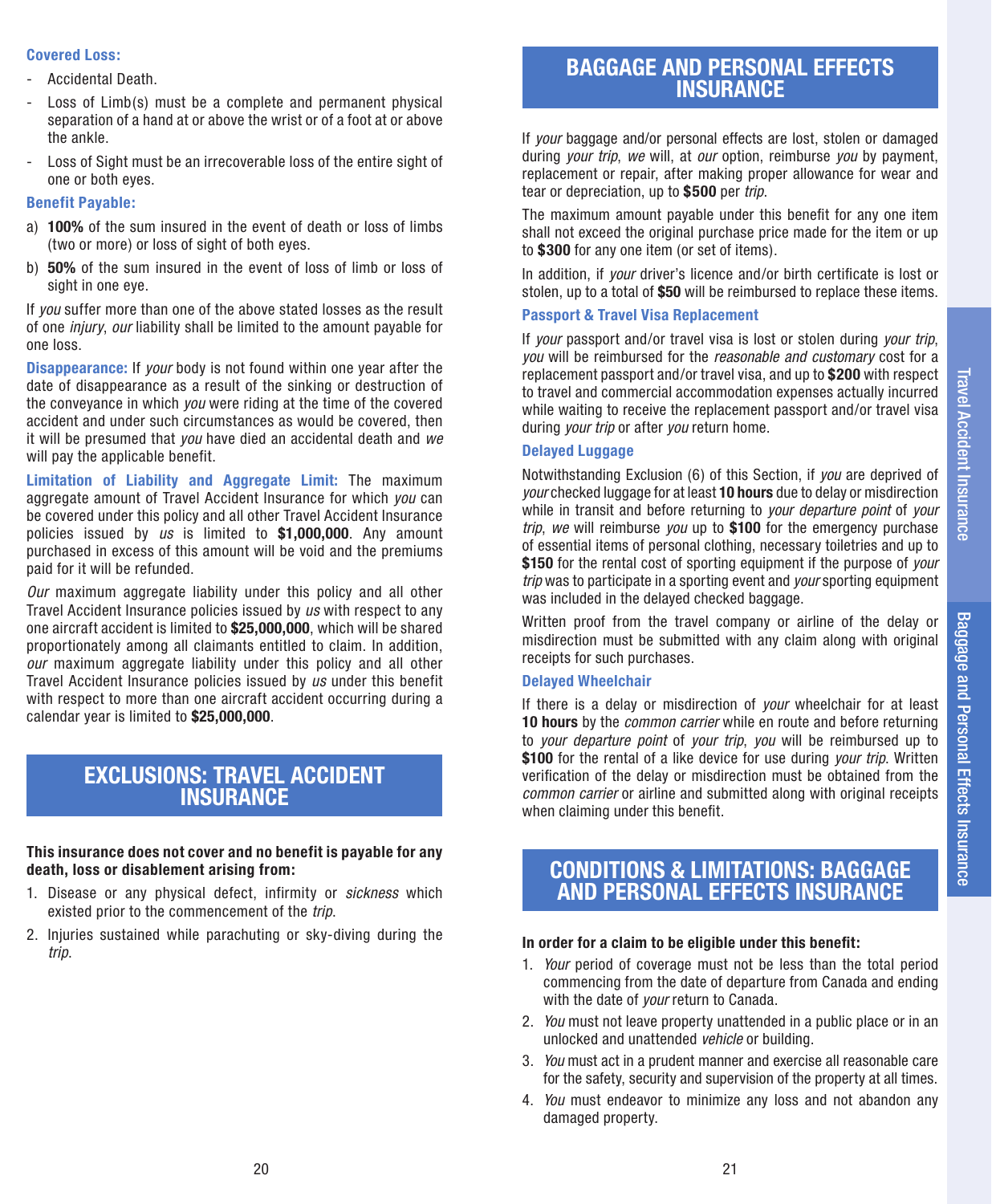### **Covered Loss:**

- Accidental Death.
- Loss of Limb(s) must be a complete and permanent physical separation of a hand at or above the wrist or of a foot at or above the ankle.
- Loss of Sight must be an irrecoverable loss of the entire sight of one or both eyes.

### **Benefit Payable:**

- a) **100%** of the sum insured in the event of death or loss of limbs (two or more) or loss of sight of both eyes.
- b) **50%** of the sum insured in the event of loss of limb or loss of sight in one eve.

If *you* suffer more than one of the above stated losses as the result of one *injury*, *our* liability shall be limited to the amount payable for one loss.

**Disappearance:** If *your* body is not found within one year after the date of disappearance as a result of the sinking or destruction of the conveyance in which *you* were riding at the time of the covered accident and under such circumstances as would be covered, then it will be presumed that *you* have died an accidental death and *we* will pay the applicable benefit.

**Limitation of Liability and Aggregate Limit:** The maximum aggregate amount of Travel Accident Insurance for which *you* can be covered under this policy and all other Travel Accident Insurance policies issued by *us* is limited to **\$1,000,000**. Any amount purchased in excess of this amount will be void and the premiums paid for it will be refunded.

*Our* maximum aggregate liability under this policy and all other Travel Accident Insurance policies issued by *us* with respect to any one aircraft accident is limited to **\$25,000,000**, which will be shared proportionately among all claimants entitled to claim. In addition, *our* maximum aggregate liability under this policy and all other Travel Accident Insurance policies issued by *us* under this benefit with respect to more than one aircraft accident occurring during a calendar year is limited to **\$25,000,000**.

# **EXCLUSIONS: TRAVEL ACCIDENT INSURANCE**

### **This insurance does not cover and no benefit is payable for any death, loss or disablement arising from:**

- 1. Disease or any physical defect, infirmity or *sickness* which existed prior to the commencement of the *trip*.
- 2. Injuries sustained while parachuting or sky-diving during the *trip*.

# **BAGGAGE AND PERSONAL EFFECTS INSURANCE**

If *your* baggage and/or personal effects are lost, stolen or damaged during *your trip*, *we* will, at *our* option, reimburse *you* by payment, replacement or repair, after making proper allowance for wear and tear or depreciation, up to **\$500** per *trip*.

The maximum amount payable under this benefit for any one item shall not exceed the original purchase price made for the item or up to **\$300** for any one item (or set of items).

In addition, if *your* driver's licence and/or birth certificate is lost or stolen, up to a total of **\$50** will be reimbursed to replace these items.

### **Passport & Travel Visa Replacement**

If *your* passport and/or travel visa is lost or stolen during *your trip*, *you* will be reimbursed for the *reasonable and customary* cost for a replacement passport and/or travel visa, and up to **\$200** with respect to travel and commercial accommodation expenses actually incurred while waiting to receive the replacement passport and/or travel visa during *your trip* or after *you* return home.

### **Delayed Luggage**

Notwithstanding Exclusion (6) of this Section, if *you* are deprived of *your* checked luggage for at least **10 hours** due to delay or misdirection while in transit and before returning to *your departure point* of *your trip*, *we* will reimburse *you* up to **\$100** for the emergency purchase of essential items of personal clothing, necessary toiletries and up to **\$150** for the rental cost of sporting equipment if the purpose of *your trip* was to participate in a sporting event and *your* sporting equipment was included in the delayed checked baggage.

Written proof from the travel company or airline of the delay or misdirection must be submitted with any claim along with original receipts for such purchases.

### **Delayed Wheelchair**

If there is a delay or misdirection of *your* wheelchair for at least **10 hours** by the *common carrier* while en route and before returning to *your departure point* of *your trip*, *you* will be reimbursed up to **\$100** for the rental of a like device for use during *your trip*. Written verification of the delay or misdirection must be obtained from the *common carrier* or airline and submitted along with original receipts when claiming under this benefit.

# **CONDITIONS & LIMITATIONS: BAGGAGE AND PERSONAL EFFECTS INSURANCE**

### **In order for a claim to be eligible under this benefit:**

- 1. *Your* period of coverage must not be less than the total period commencing from the date of departure from Canada and ending with the date of *your* return to Canada.
- 2. *You* must not leave property unattended in a public place or in an unlocked and unattended *vehicle* or building.
- 3. *You* must act in a prudent manner and exercise all reasonable care for the safety, security and supervision of the property at all times.
- 4. *You* must endeavor to minimize any loss and not abandon any damaged property.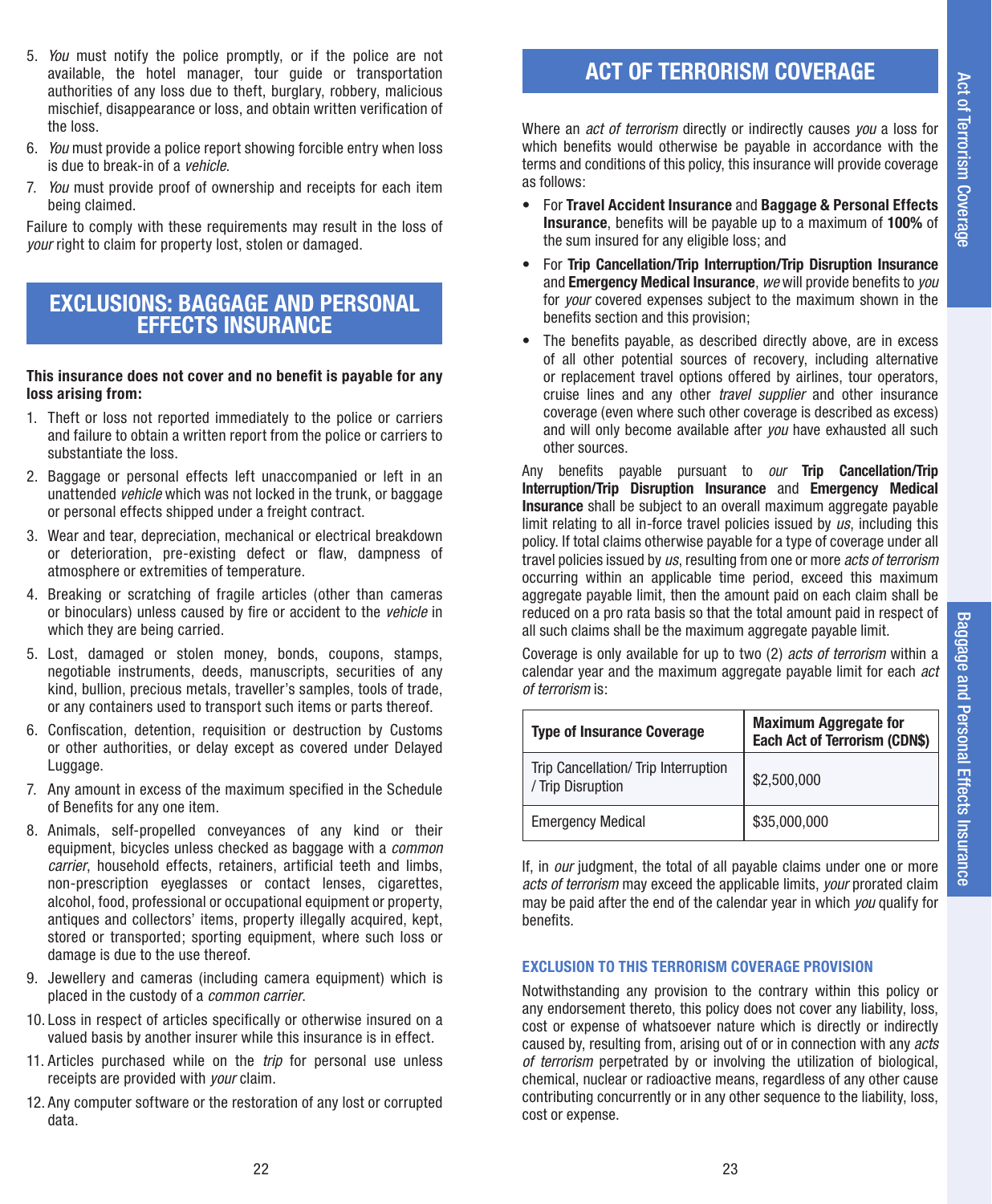- 5. *You* must notify the police promptly, or if the police are not available, the hotel manager, tour guide or transportation authorities of any loss due to theft, burglary, robbery, malicious mischief, disappearance or loss, and obtain written verification of the loss.
- 6. *You* must provide a police report showing forcible entry when loss is due to break-in of a *vehicle*.
- 7. *You* must provide proof of ownership and receipts for each item being claimed.

Failure to comply with these requirements may result in the loss of *your* right to claim for property lost, stolen or damaged.

# **EXCLUSIONS: BAGGAGE AND PERSONAL EFFECTS INSURANCE**

### **This insurance does not cover and no benefit is payable for any loss arising from:**

- 1. Theft or loss not reported immediately to the police or carriers and failure to obtain a written report from the police or carriers to substantiate the loss.
- 2. Baggage or personal effects left unaccompanied or left in an unattended *vehicle* which was not locked in the trunk, or baggage or personal effects shipped under a freight contract.
- 3. Wear and tear, depreciation, mechanical or electrical breakdown or deterioration, pre-existing defect or flaw, dampness of atmosphere or extremities of temperature.
- 4. Breaking or scratching of fragile articles (other than cameras or binoculars) unless caused by fire or accident to the *vehicle* in which they are being carried.
- 5. Lost, damaged or stolen money, bonds, coupons, stamps, negotiable instruments, deeds, manuscripts, securities of any kind, bullion, precious metals, traveller's samples, tools of trade, or any containers used to transport such items or parts thereof.
- 6. Confiscation, detention, requisition or destruction by Customs or other authorities, or delay except as covered under Delayed Luggage.
- 7. Any amount in excess of the maximum specified in the Schedule of Benefits for any one item.
- 8. Animals, self-propelled conveyances of any kind or their equipment, bicycles unless checked as baggage with a *common carrier*, household effects, retainers, artificial teeth and limbs, non-prescription eyeglasses or contact lenses, cigarettes, alcohol, food, professional or occupational equipment or property, antiques and collectors' items, property illegally acquired, kept, stored or transported; sporting equipment, where such loss or damage is due to the use thereof.
- 9. Jewellery and cameras (including camera equipment) which is placed in the custody of a *common carrier*.
- 10. Loss in respect of articles specifically or otherwise insured on a valued basis by another insurer while this insurance is in effect.
- 11. Articles purchased while on the *trip* for personal use unless receipts are provided with *your* claim.
- 12. Any computer software or the restoration of any lost or corrupted data.

# **ACT OF TERRORISM COVERAGE**

Where an *act of terrorism* directly or indirectly causes *you* a loss for which benefits would otherwise be payable in accordance with the terms and conditions of this policy, this insurance will provide coverage as follows:

- For **Travel Accident Insurance** and **Baggage & Personal Effects Insurance**, benefits will be payable up to a maximum of **100%** of the sum insured for any eligible loss; and
- For **Trip Cancellation/Trip Interruption/Trip Disruption Insurance** and **Emergency Medical Insurance**, *we* will provide benefits to *you* for *your* covered expenses subject to the maximum shown in the benefits section and this provision;
- The benefits payable, as described directly above, are in excess of all other potential sources of recovery, including alternative or replacement travel options offered by airlines, tour operators, cruise lines and any other *travel supplier* and other insurance coverage (even where such other coverage is described as excess) and will only become available after *you* have exhausted all such other sources.

Any benefits payable pursuant to *our* **Trip Cancellation/Trip Interruption/Trip Disruption Insurance** and **Emergency Medical Insurance** shall be subject to an overall maximum aggregate payable limit relating to all in-force travel policies issued by *us*, including this policy. If total claims otherwise payable for a type of coverage under all travel policies issued by *us*, resulting from one or more *acts of terrorism* occurring within an applicable time period, exceed this maximum aggregate payable limit, then the amount paid on each claim shall be reduced on a pro rata basis so that the total amount paid in respect of all such claims shall be the maximum aggregate payable limit.

Coverage is only available for up to two (2) *acts of terrorism* within a calendar year and the maximum aggregate payable limit for each *act of terrorism* is:

| <b>Type of Insurance Coverage</b>                         | <b>Maximum Aggregate for</b><br>Each Act of Terrorism (CDN\$) |
|-----------------------------------------------------------|---------------------------------------------------------------|
| Trip Cancellation/ Trip Interruption<br>/ Trip Disruption | \$2,500,000                                                   |
| <b>Emergency Medical</b>                                  | \$35,000,000                                                  |

If, in *our* judgment, the total of all payable claims under one or more *acts of terrorism* may exceed the applicable limits, *your* prorated claim may be paid after the end of the calendar year in which *you* qualify for benefits.

### **EXCLUSION TO THIS TERRORISM COVERAGE PROVISION**

Notwithstanding any provision to the contrary within this policy or any endorsement thereto, this policy does not cover any liability, loss, cost or expense of whatsoever nature which is directly or indirectly caused by, resulting from, arising out of or in connection with any *acts of terrorism* perpetrated by or involving the utilization of biological, chemical, nuclear or radioactive means, regardless of any other cause contributing concurrently or in any other sequence to the liability, loss, cost or expense.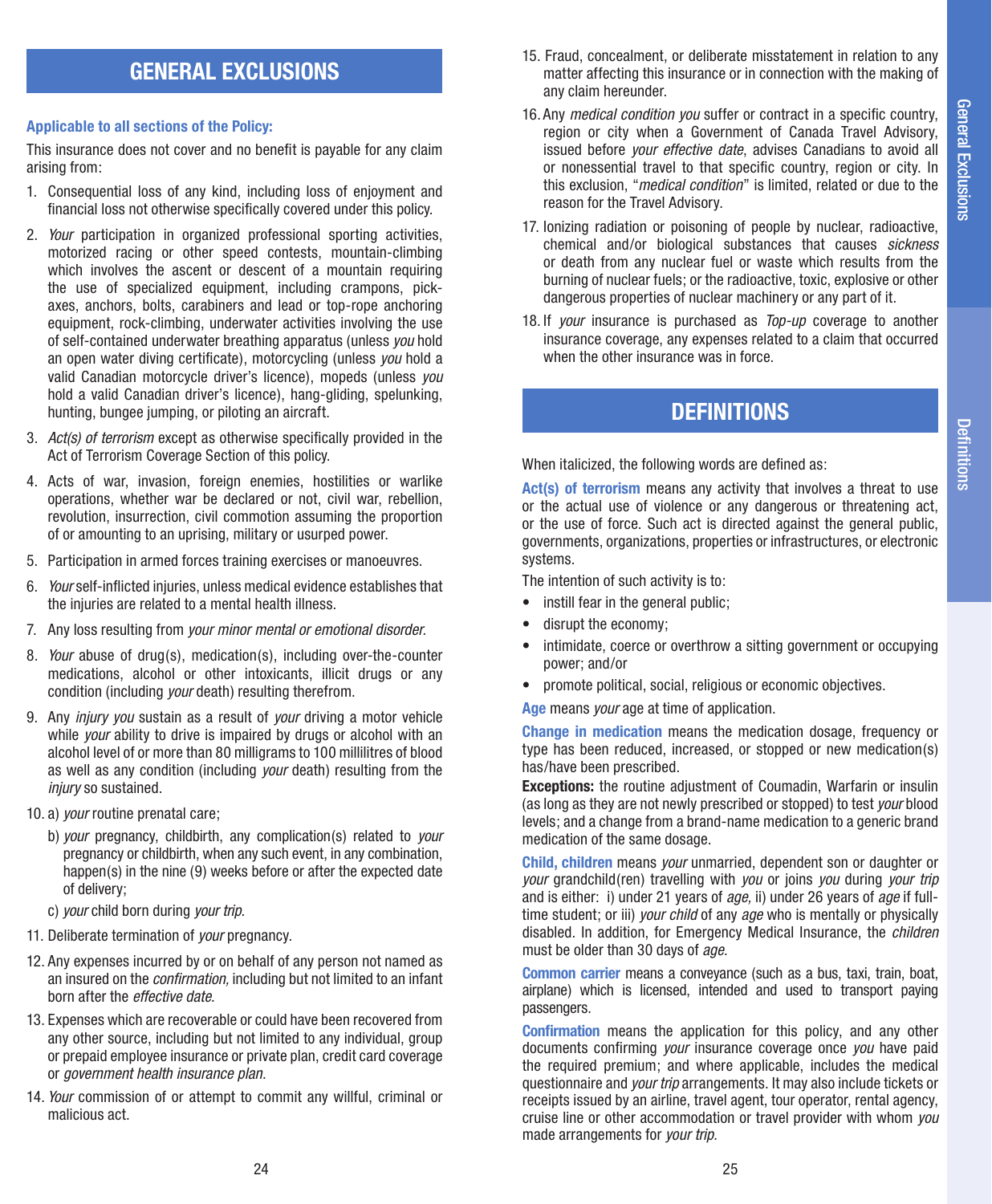# **GENERAL EXCLUSIONS**

### **Applicable to all sections of the Policy:**

This insurance does not cover and no benefit is payable for any claim arising from:

- 1. Consequential loss of any kind, including loss of enjoyment and financial loss not otherwise specifically covered under this policy.
- 2. *Your* participation in organized professional sporting activities, motorized racing or other speed contests, mountain-climbing which involves the ascent or descent of a mountain requiring the use of specialized equipment, including crampons, pickaxes, anchors, bolts, carabiners and lead or top-rope anchoring equipment, rock-climbing, underwater activities involving the use of self-contained underwater breathing apparatus (unless *you* hold an open water diving certificate), motorcycling (unless *you* hold a valid Canadian motorcycle driver's licence), mopeds (unless *you* hold a valid Canadian driver's licence), hang-gliding, spelunking, hunting, bungee jumping, or piloting an aircraft.
- 3. *Act(s) of terrorism* except as otherwise specifically provided in the Act of Terrorism Coverage Section of this policy.
- 4. Acts of war, invasion, foreign enemies, hostilities or warlike operations, whether war be declared or not, civil war, rebellion, revolution, insurrection, civil commotion assuming the proportion of or amounting to an uprising, military or usurped power.
- 5. Participation in armed forces training exercises or manoeuvres.
- 6. *Your* self-inflicted injuries, unless medical evidence establishes that the injuries are related to a mental health illness.
- 7. Any loss resulting from *your minor mental or emotional disorder.*
- 8. *Your* abuse of drug(s), medication(s), including over-the-counter medications, alcohol or other intoxicants, illicit drugs or any condition (including *your* death) resulting therefrom.
- 9. Any *injury you* sustain as a result of *your* driving a motor vehicle while *your* ability to drive is impaired by drugs or alcohol with an alcohol level of or more than 80 milligrams to 100 millilitres of blood as well as any condition (including *your* death) resulting from the *injury* so sustained.
- 10. a) *your* routine prenatal care;
	- b) *your* pregnancy, childbirth, any complication(s) related to *your* pregnancy or childbirth, when any such event, in any combination, happen(s) in the nine (9) weeks before or after the expected date of delivery;
	- c) *your* child born during *your trip*.
- 11. Deliberate termination of *your* pregnancy.
- 12. Any expenses incurred by or on behalf of any person not named as an insured on the *confirmation,* including but not limited to an infant born after the *effective date*.
- 13. Expenses which are recoverable or could have been recovered from any other source, including but not limited to any individual, group or prepaid employee insurance or private plan, credit card coverage or *government health insurance plan*.
- 14. *Your* commission of or attempt to commit any willful, criminal or malicious act.
- 15. Fraud, concealment, or deliberate misstatement in relation to any matter affecting this insurance or in connection with the making of any claim hereunder.
- 16. Any *medical condition you* suffer or contract in a specific country, region or city when a Government of Canada Travel Advisory, issued before *your effective date*, advises Canadians to avoid all or nonessential travel to that specific country, region or city. In this exclusion, "*medical condition*" is limited, related or due to the reason for the Travel Advisory.
- 17. Ionizing radiation or poisoning of people by nuclear, radioactive, chemical and/or biological substances that causes *sickness* or death from any nuclear fuel or waste which results from the burning of nuclear fuels; or the radioactive, toxic, explosive or other dangerous properties of nuclear machinery or any part of it.
- 18. If *your* insurance is purchased as *Top-up* coverage to another insurance coverage, any expenses related to a claim that occurred when the other insurance was in force.

# **DEFINITIONS**

When italicized, the following words are defined as:

Act(s) of terrorism means any activity that involves a threat to use or the actual use of violence or any dangerous or threatening act, or the use of force. Such act is directed against the general public, governments, organizations, properties or infrastructures, or electronic systems.

The intention of such activity is to:

- instill fear in the general public:
- disrupt the economy;
- intimidate, coerce or overthrow a sitting government or occupying power; and/or
- promote political, social, religious or economic objectives.

**Age** means *your* age at time of application.

**Change in medication** means the medication dosage, frequency or type has been reduced, increased, or stopped or new medication(s) has/have been prescribed.

**Exceptions:** the routine adjustment of Coumadin, Warfarin or insulin (as long as they are not newly prescribed or stopped) to test *your* blood levels; and a change from a brand-name medication to a generic brand medication of the same dosage.

**Child, children** means *your* unmarried, dependent son or daughter or *your* grandchild(ren) travelling with *you* or joins *you* during *your trip* and is either: i) under 21 years of *age,* ii) under 26 years of *age* if fulltime student; or iii) *your child* of any *age* who is mentally or physically disabled. In addition, for Emergency Medical Insurance, the *children* must be older than 30 days of *age.*

**Common carrier** means a conveyance (such as a bus, taxi, train, boat, airplane) which is licensed, intended and used to transport paying passengers.

**Confirmation** means the application for this policy, and any other documents confirming *your* insurance coverage once *you* have paid the required premium; and where applicable, includes the medical questionnaire and *your trip* arrangements. It may also include tickets or receipts issued by an airline, travel agent, tour operator, rental agency, cruise line or other accommodation or travel provider with whom *you* made arrangements for *your trip.*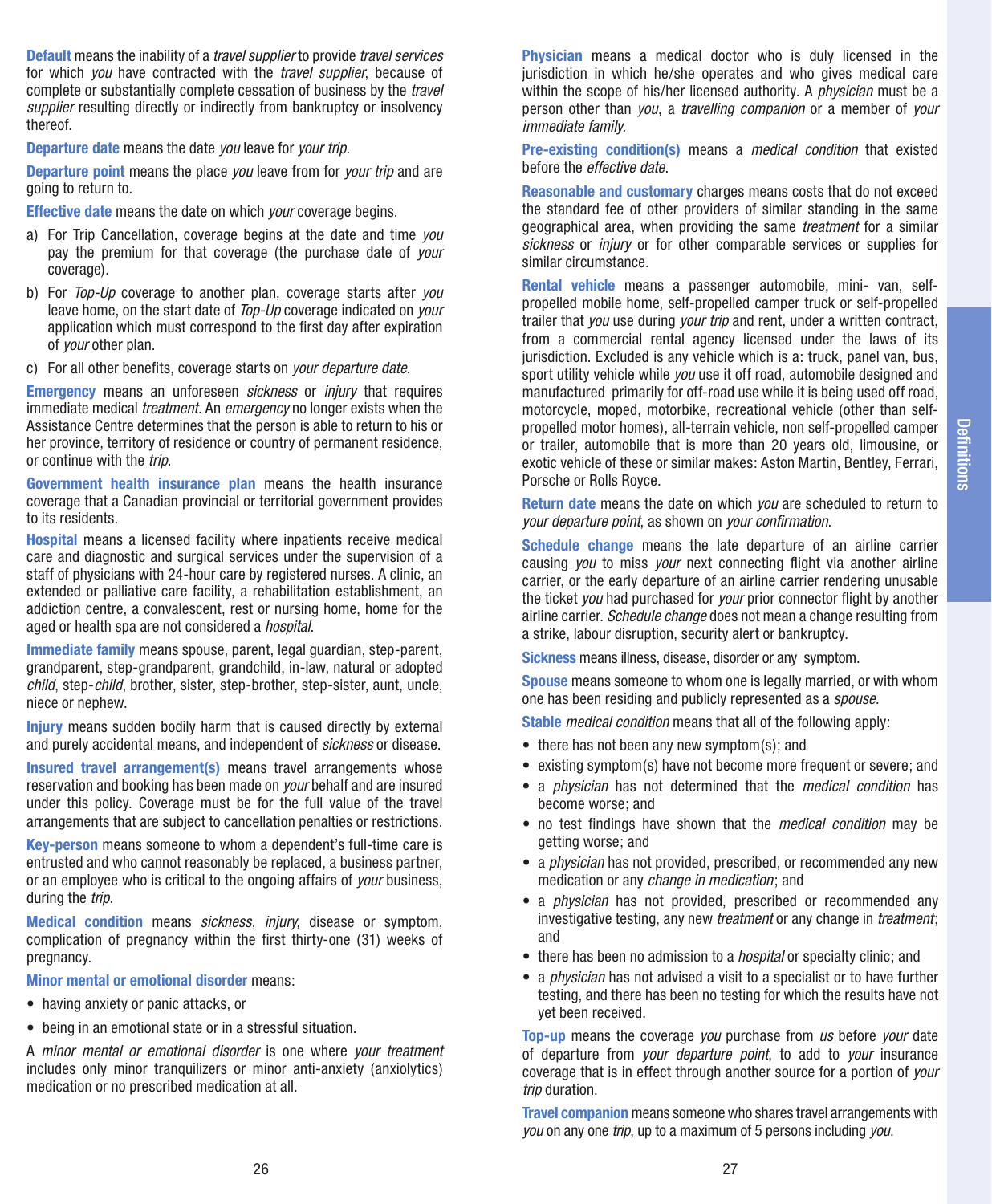Definitions Definitions

**Default** means the inability of a *travel supplier* to provide *travel services*  for which *you* have contracted with the *travel supplier*, because of complete or substantially complete cessation of business by the *travel supplier* resulting directly or indirectly from bankruptcy or insolvency thereof.

**Departure date** means the date *you* leave for *your trip*.

**Departure point** means the place *you* leave from for *your trip* and are going to return to.

**Effective date** means the date on which *your* coverage begins.

- a) For Trip Cancellation, coverage begins at the date and time *you* pay the premium for that coverage (the purchase date of *your* coverage).
- b) For *Top-Up* coverage to another plan, coverage starts after *you*  leave home, on the start date of *Top-Up* coverage indicated on *your* application which must correspond to the first day after expiration of *your* other plan.
- c) For all other benefits, coverage starts on *your departure date*.

**Emergency** means an unforeseen *sickness* or *injury* that requires immediate medical *treatment.* An *emergency* no longer exists when the Assistance Centre determines that the person is able to return to his or her province, territory of residence or country of permanent residence, or continue with the *trip*.

**Government health insurance plan** means the health insurance coverage that a Canadian provincial or territorial government provides to its residents.

**Hospital** means a licensed facility where inpatients receive medical care and diagnostic and surgical services under the supervision of a staff of physicians with 24-hour care by registered nurses. A clinic, an extended or palliative care facility, a rehabilitation establishment, an addiction centre, a convalescent, rest or nursing home, home for the aged or health spa are not considered a *hospital*.

**Immediate family** means spouse, parent, legal guardian, step-parent, grandparent, step-grandparent, grandchild, in-law, natural or adopted *child*, step-*child*, brother, sister, step-brother, step-sister, aunt, uncle, niece or nephew.

**Injury** means sudden bodily harm that is caused directly by external and purely accidental means, and independent of *sickness* or disease.

**Insured travel arrangement(s)** means travel arrangements whose reservation and booking has been made on *your* behalf and are insured under this policy. Coverage must be for the full value of the travel arrangements that are subject to cancellation penalties or restrictions.

**Key-person** means someone to whom a dependent's full-time care is entrusted and who cannot reasonably be replaced, a business partner, or an employee who is critical to the ongoing affairs of *your* business, during the *trip*.

**Medical condition** means *sickness*, *injury,* disease or symptom, complication of pregnancy within the first thirty-one (31) weeks of pregnancy.

**Minor mental or emotional disorder** means:

- having anxiety or panic attacks, or
- being in an emotional state or in a stressful situation.

A *minor mental or emotional disorder* is one where *your treatment*  includes only minor tranquilizers or minor anti-anxiety (anxiolytics) medication or no prescribed medication at all.

**Physician** means a medical doctor who is duly licensed in the jurisdiction in which he/she operates and who gives medical care within the scope of his/her licensed authority. A *physician* must be a person other than *you*, a *travelling companion* or a member of *your immediate family.*

**Pre-existing condition(s)** means a *medical condition* that existed before the *effective date*.

**Reasonable and customary** charges means costs that do not exceed the standard fee of other providers of similar standing in the same geographical area, when providing the same *treatment* for a similar *sickness* or *injury* or for other comparable services or supplies for similar circumstance.

**Rental vehicle** means a passenger automobile, mini- van, selfpropelled mobile home, self-propelled camper truck or self-propelled trailer that *you* use during *your trip* and rent, under a written contract, from a commercial rental agency licensed under the laws of its jurisdiction. Excluded is any vehicle which is a: truck, panel van, bus, sport utility vehicle while *you* use it off road, automobile designed and manufactured primarily for off-road use while it is being used off road, motorcycle, moped, motorbike, recreational vehicle (other than selfpropelled motor homes), all-terrain vehicle, non self-propelled camper or trailer, automobile that is more than 20 years old, limousine, or exotic vehicle of these or similar makes: Aston Martin, Bentley, Ferrari, Porsche or Rolls Royce.

**Return date** means the date on which *you* are scheduled to return to *your departure point*, as shown on *your confirmation*.

**Schedule change** means the late departure of an airline carrier causing *you* to miss *your* next connecting flight via another airline carrier, or the early departure of an airline carrier rendering unusable the ticket *you* had purchased for *your* prior connector flight by another airline carrier. *Schedule change* does not mean a change resulting from a strike, labour disruption, security alert or bankruptcy.

**Sickness** means illness, disease, disorder or any symptom.

**Spouse** means someone to whom one is legally married, or with whom one has been residing and publicly represented as a *spouse.*

**Stable** *medical condition* means that all of the following apply:

- there has not been any new symptom(s); and
- existing symptom(s) have not become more frequent or severe; and
- a *physician* has not determined that the *medical condition* has become worse; and
- no test findings have shown that the *medical condition* may be getting worse; and
- a *physician* has not provided, prescribed, or recommended any new medication or any *change in medication*; and
- a *physician* has not provided, prescribed or recommended any investigative testing, any new *treatment* or any change in *treatment*; and
- there has been no admission to a *hospital* or specialty clinic; and
- a *physician* has not advised a visit to a specialist or to have further testing, and there has been no testing for which the results have not yet been received.

**Top-up** means the coverage *you* purchase from *us* before *your* date of departure from *your departure point*, to add to *your* insurance coverage that is in effect through another source for a portion of *your trip* duration.

**Travel companion** means someone who shares travel arrangements with *you* on any one *trip*, up to a maximum of 5 persons including *you*.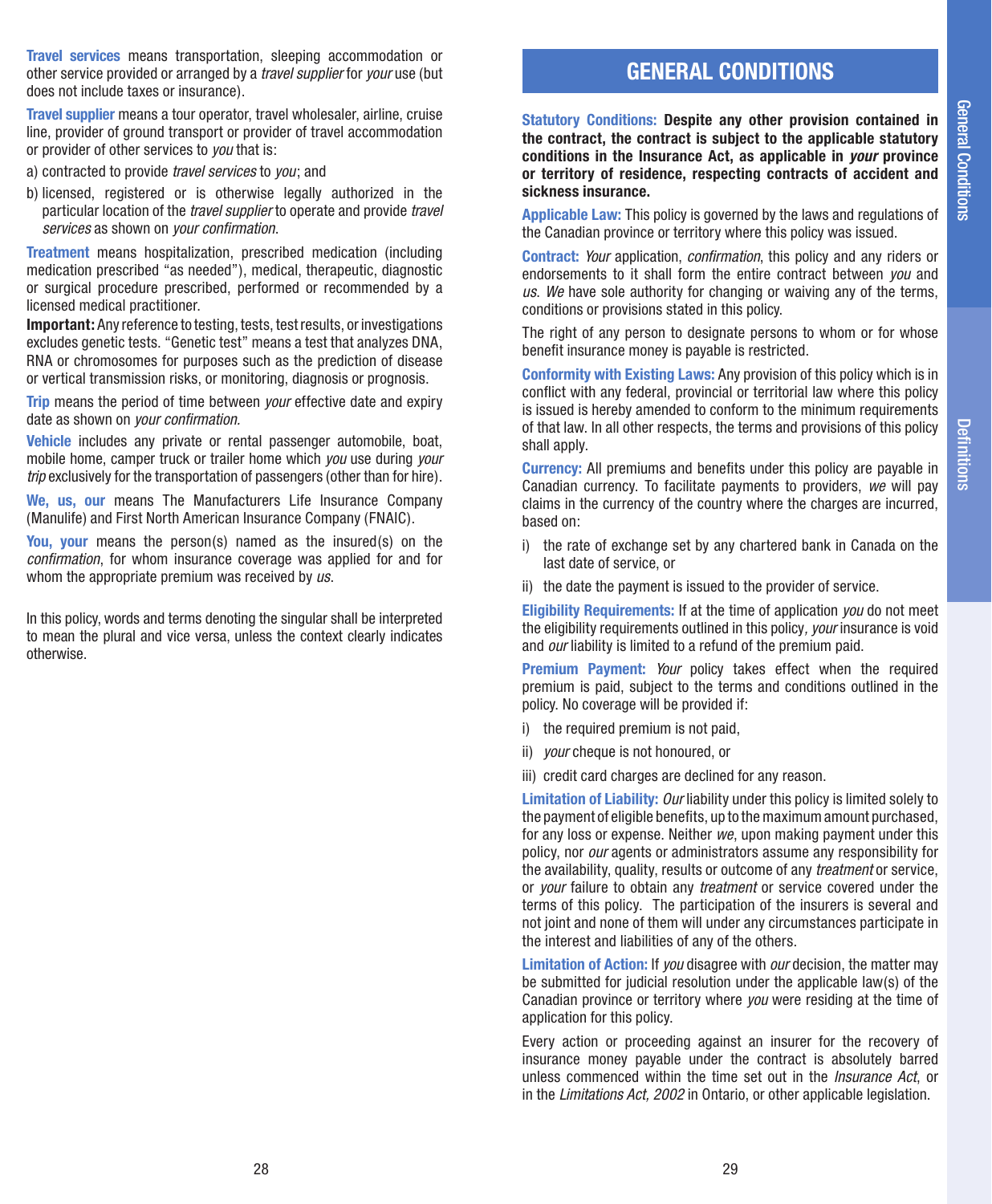Definitions

Definitions

**Travel services** means transportation, sleeping accommodation or other service provided or arranged by a *travel supplier* for *your* use (but does not include taxes or insurance).

**Travel supplier** means a tour operator, travel wholesaler, airline, cruise line, provider of ground transport or provider of travel accommodation or provider of other services to *you* that is:

- a) contracted to provide *travel services* to *you*; and
- b) licensed, registered or is otherwise legally authorized in the particular location of the *travel supplier* to operate and provide *travel services* as shown on *your confirmation*.

**Treatment** means hospitalization, prescribed medication (including medication prescribed "as needed"), medical, therapeutic, diagnostic or surgical procedure prescribed, performed or recommended by a licensed medical practitioner.

**Important:** Any reference to testing, tests, test results, or investigations excludes genetic tests. "Genetic test" means a test that analyzes DNA, RNA or chromosomes for purposes such as the prediction of disease or vertical transmission risks, or monitoring, diagnosis or prognosis.

**Trip** means the period of time between *your* effective date and expiry date as shown on *your confirmation.*

**Vehicle** includes any private or rental passenger automobile, boat, mobile home, camper truck or trailer home which *you* use during *your trip* exclusively for the transportation of passengers (other than for hire).

**We, us, our** means The Manufacturers Life Insurance Company (Manulife) and First North American Insurance Company (FNAIC).

**You, your** means the person(s) named as the insured(s) on the *confirmation*, for whom insurance coverage was applied for and for whom the appropriate premium was received by *us*.

In this policy, words and terms denoting the singular shall be interpreted to mean the plural and vice versa, unless the context clearly indicates otherwise.

# **GENERAL CONDITIONS**

**Statutory Conditions: Despite any other provision contained in the contract, the contract is subject to the applicable statutory conditions in the Insurance Act, as applicable in** *your* **province or territory of residence, respecting contracts of accident and sickness insurance.** 

**Applicable Law:** This policy is governed by the laws and regulations of the Canadian province or territory where this policy was issued.

**Contract:** *Your* application, *confirmation*, this policy and any riders or endorsements to it shall form the entire contract between *you* and *us*. *We* have sole authority for changing or waiving any of the terms, conditions or provisions stated in this policy.

The right of any person to designate persons to whom or for whose benefit insurance money is payable is restricted.

**Conformity with Existing Laws:** Any provision of this policy which is in conflict with any federal, provincial or territorial law where this policy is issued is hereby amended to conform to the minimum requirements of that law. In all other respects, the terms and provisions of this policy shall apply.

**Currency:** All premiums and benefits under this policy are payable in Canadian currency. To facilitate payments to providers, *we* will pay claims in the currency of the country where the charges are incurred, based on:

- i) the rate of exchange set by any chartered bank in Canada on the last date of service, or
- ii) the date the payment is issued to the provider of service.

**Eligibility Requirements:** If at the time of application *you* do not meet the eligibility requirements outlined in this policy*, your* insurance is void and *our* liability is limited to a refund of the premium paid.

**Premium Payment:** *Your* policy takes effect when the required premium is paid, subject to the terms and conditions outlined in the policy. No coverage will be provided if:

- i) the required premium is not paid,
- ii) *your* cheque is not honoured, or
- iii) credit card charges are declined for any reason.

**Limitation of Liability:** *Our* liability under this policy is limited solely to the payment of eligible benefits, up to the maximum amount purchased, for any loss or expense. Neither *we*, upon making payment under this policy, nor *our* agents or administrators assume any responsibility for the availability, quality, results or outcome of any *treatment* or service, or *your* failure to obtain any *treatment* or service covered under the terms of this policy. The participation of the insurers is several and not joint and none of them will under any circumstances participate in the interest and liabilities of any of the others.

**Limitation of Action:** If *you* disagree with *our* decision, the matter may be submitted for judicial resolution under the applicable law(s) of the Canadian province or territory where *you* were residing at the time of application for this policy.

Every action or proceeding against an insurer for the recovery of insurance money payable under the contract is absolutely barred unless commenced within the time set out in the *Insurance Act*, or in the *Limitations Act, 2002* in Ontario, or other applicable legislation.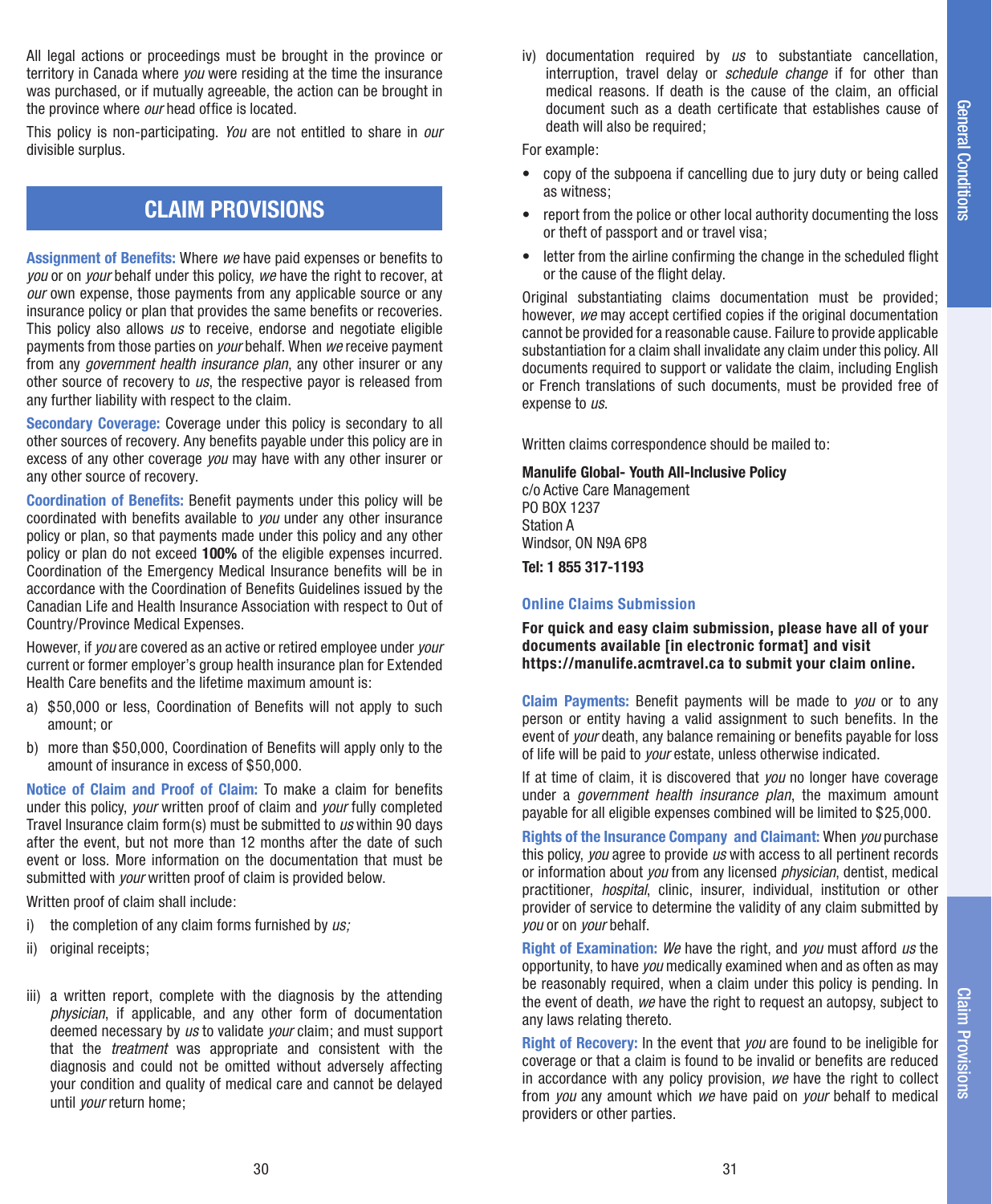All legal actions or proceedings must be brought in the province or territory in Canada where *you* were residing at the time the insurance was purchased, or if mutually agreeable, the action can be brought in the province where *our* head office is located.

This policy is non-participating. *You* are not entitled to share in *our* divisible surplus.

# **CLAIM PROVISIONS**

**Assignment of Benefits:** Where *we* have paid expenses or benefits to *you* or on *your* behalf under this policy, *we* have the right to recover, at *our* own expense, those payments from any applicable source or any insurance policy or plan that provides the same benefits or recoveries. This policy also allows *us* to receive, endorse and negotiate eligible payments from those parties on *your* behalf. When *we* receive payment from any *government health insurance plan*, any other insurer or any other source of recovery to *us*, the respective payor is released from any further liability with respect to the claim.

**Secondary Coverage:** Coverage under this policy is secondary to all other sources of recovery. Any benefits payable under this policy are in excess of any other coverage *you* may have with any other insurer or any other source of recovery.

**Coordination of Benefits:** Benefit payments under this policy will be coordinated with benefits available to *you* under any other insurance policy or plan, so that payments made under this policy and any other policy or plan do not exceed **100%** of the eligible expenses incurred. Coordination of the Emergency Medical Insurance benefits will be in accordance with the Coordination of Benefits Guidelines issued by the Canadian Life and Health Insurance Association with respect to Out of Country/Province Medical Expenses.

However, if *you* are covered as an active or retired employee under *your* current or former employer's group health insurance plan for Extended Health Care benefits and the lifetime maximum amount is:

- a) \$50,000 or less, Coordination of Benefits will not apply to such amount; or
- b) more than \$50,000, Coordination of Benefits will apply only to the amount of insurance in excess of \$50,000.

**Notice of Claim and Proof of Claim:** To make a claim for benefits under this policy, *your* written proof of claim and *your* fully completed Travel Insurance claim form(s) must be submitted to *us* within 90 days after the event, but not more than 12 months after the date of such event or loss. More information on the documentation that must be submitted with *your* written proof of claim is provided below.

Written proof of claim shall include:

- i) the completion of any claim forms furnished by *us;*
- ii) original receipts;
- iii) a written report, complete with the diagnosis by the attending *physician*, if applicable, and any other form of documentation deemed necessary by *us* to validate *your* claim; and must support that the *treatment* was appropriate and consistent with the diagnosis and could not be omitted without adversely affecting your condition and quality of medical care and cannot be delayed until *your* return home;

iv) documentation required by *us* to substantiate cancellation, interruption, travel delay or *schedule change* if for other than medical reasons. If death is the cause of the claim, an official document such as a death certificate that establishes cause of death will also be required;

For example:

- copy of the subpoena if cancelling due to jury duty or being called as witness;
- report from the police or other local authority documenting the loss or theft of passport and or travel visa;
- letter from the airline confirming the change in the scheduled flight or the cause of the flight delay.

Original substantiating claims documentation must be provided; however, *we* may accept certified copies if the original documentation cannot be provided for a reasonable cause. Failure to provide applicable substantiation for a claim shall invalidate any claim under this policy. All documents required to support or validate the claim, including English or French translations of such documents, must be provided free of expense to *us*.

Written claims correspondence should be mailed to:

**Manulife Global- Youth All-Inclusive Policy** 

c/o Active Care Management PO BOX 1237 Station A Windsor, ON N9A 6P8

**Tel: 1 855 317-1193**

### **Online Claims Submission**

**For quick and easy claim submission, please have all of your documents available [in electronic format] and visit https://manulife.acmtravel.ca to submit your claim online.**

**Claim Payments:** Benefit payments will be made to *you* or to any person or entity having a valid assignment to such benefits. In the event of *your* death, any balance remaining or benefits payable for loss of life will be paid to *your* estate, unless otherwise indicated.

If at time of claim, it is discovered that *you* no longer have coverage under a *government health insurance plan*, the maximum amount payable for all eligible expenses combined will be limited to \$25,000.

**Rights of the Insurance Company and Claimant:** When *you* purchase this policy, *you* agree to provide *us* with access to all pertinent records or information about *you* from any licensed *physician*, dentist, medical practitioner, *hospital*, clinic, insurer, individual, institution or other provider of service to determine the validity of any claim submitted by *you* or on *your* behalf.

**Right of Examination:** *We* have the right, and *you* must afford *us* the opportunity, to have *you* medically examined when and as often as may be reasonably required, when a claim under this policy is pending. In the event of death, *we* have the right to request an autopsy, subject to any laws relating thereto.

**Right of Recovery:** In the event that *you* are found to be ineligible for coverage or that a claim is found to be invalid or benefits are reduced in accordance with any policy provision, *we* have the right to collect from *you* any amount which *we* have paid on *your* behalf to medical providers or other parties.